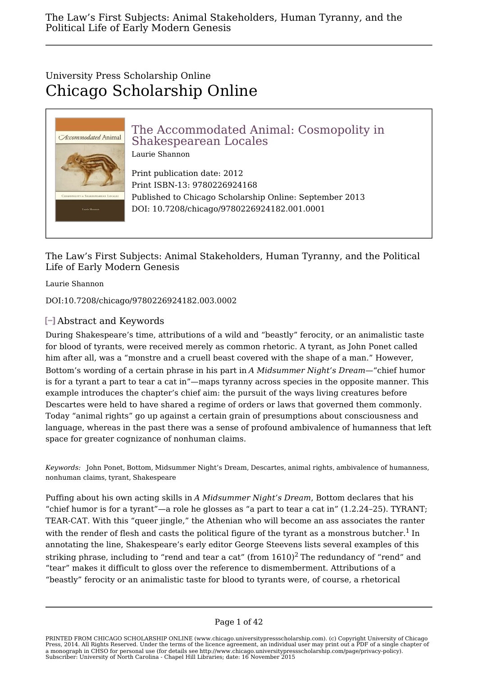# University Press Scholarship Online Chicago Scholarship Online



The Law's First Subjects: Animal Stakeholders, Human Tyranny, and the Political Life of Early Modern Genesis

Laurie Shannon

DOI:10.7208/chicago/9780226924182.003.0002

## [-] Abstract and Keywords

During Shakespeare's time, attributions of a wild and "beastly" ferocity, or an animalistic taste for blood of tyrants, were received merely as common rhetoric. A tyrant, as John Ponet called him after all, was a "monstre and a cruell beast covered with the shape of a man." However, Bottom's wording of a certain phrase in his part in *A Midsummer Night's Dream*—"chief humor is for a tyrant a part to tear a cat in"—maps tyranny across species in the opposite manner. This example introduces the chapter's chief aim: the pursuit of the ways living creatures before Descartes were held to have shared a regime of orders or laws that governed them commonly. Today "animal rights" go up against a certain grain of presumptions about consciousness and language, whereas in the past there was a sense of profound ambivalence of humanness that left space for greater cognizance of nonhuman claims.

*Keywords:* John Ponet, Bottom, Midsummer Night's Dream, Descartes, animal rights, ambivalence of humanness, nonhuman claims, tyrant, Shakespeare

Puffing about his own acting skills in *A Midsummer Night's Dream*, Bottom declares that his "chief humor is for a tyrant"—a role he glosses as "a part to tear a cat in"  $(1.2.24-25)$ . TYRANT; TEAR-CAT. With this "queer jingle," the Athenian who will become an ass associates the ranter with the render of flesh and casts the political figure of the tyrant as a monstrous butcher.<sup>1</sup> In In the same state of  $\mathbb{I}$ annotating the line, Shakespeare's early editor George Steevens lists several examples of this striking phrase, including to "rend and tear a cat" (from  $1610$ )<sup>2</sup> The redundancy of "rend" and "tear" makes it difficult to gloss over the reference to dismemberment. Attributions of a "beastly" ferocity or an animalistic taste for blood to tyrants were, of course, a rhetorical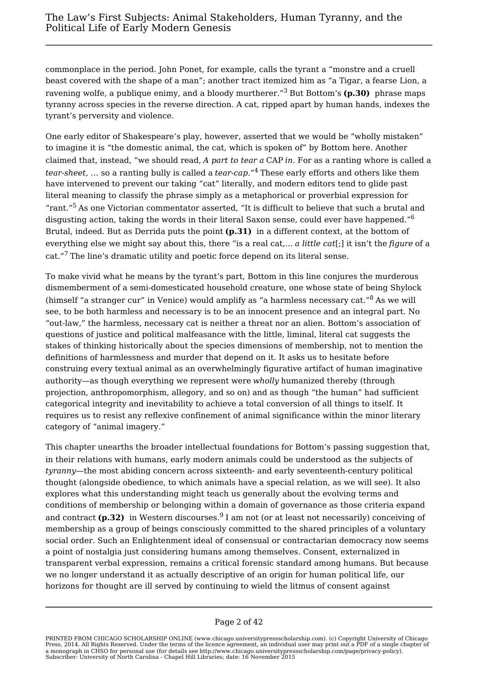commonplace in the period. John Ponet, for example, calls the tyrant a "monstre and a cruell beast covered with the shape of a man"; another tract itemized him as "a Tigar, a fearse Lion, a ravening wolfe, a publique enimy, and a bloody murtherer."<sup>3</sup> But Bottom's **(p.30)** phrase maps tyranny across species in the reverse direction. A cat, ripped apart by human hands, indexes the tyrant's perversity and violence.

One early editor of Shakespeare's play, however, asserted that we would be "wholly mistaken" to imagine it is "the domestic animal, the cat, which is spoken of" by Bottom here. Another claimed that, instead, "we should read, *A part to tear a* CAP *in*. For as a ranting whore is called a *tear-sheet*, … so a ranting bully is called a *tear-cap*."<sup>4</sup> These early efforts and others like them have intervened to prevent our taking "cat" literally, and modern editors tend to glide past literal meaning to classify the phrase simply as a metaphorical or proverbial expression for "rant."<sup>5</sup> As one Victorian commentator asserted, "It is difficult to believe that such a brutal and disgusting action, taking the words in their literal Saxon sense, could ever have happened."<sup>6</sup> Brutal, indeed. But as Derrida puts the point **(p.31)** in a different context, at the bottom of everything else we might say about this, there "is a real cat,… *a little cat*[;] it isn't the *figure* of a cat."<sup>7</sup> The line's dramatic utility and poetic force depend on its literal sense.

To make vivid what he means by the tyrant's part, Bottom in this line conjures the murderous dismemberment of a semi-domesticated household creature, one whose state of being Shylock (himself "a stranger cur" in Venice) would amplify as "a harmless necessary cat."<sup>8</sup> As we will see, to be both harmless and necessary is to be an innocent presence and an integral part. No "out-law," the harmless, necessary cat is neither a threat nor an alien. Bottom's association of questions of justice and political malfeasance with the little, liminal, literal cat suggests the stakes of thinking historically about the species dimensions of membership, not to mention the definitions of harmlessness and murder that depend on it. It asks us to hesitate before construing every textual animal as an overwhelmingly figurative artifact of human imaginative authority—as though everything we represent were *wholly* humanized thereby (through projection, anthropomorphism, allegory, and so on) and as though "the human" had sufficient categorical integrity and inevitability to achieve a total conversion of all things to itself. It requires us to resist any reflexive confinement of animal significance within the minor literary category of "animal imagery."

This chapter unearths the broader intellectual foundations for Bottom's passing suggestion that, in their relations with humans, early modern animals could be understood as the subjects of *tyranny*—the most abiding concern across sixteenth- and early seventeenth-century political thought (alongside obedience, to which animals have a special relation, as we will see). It also explores what this understanding might teach us generally about the evolving terms and conditions of membership or belonging within a domain of governance as those criteria expand and contract **(p.32)** in Western discourses. $^9$  I am not (or at least not necessarily) conceiving of membership as a group of beings consciously committed to the shared principles of a voluntary social order. Such an Enlightenment ideal of consensual or contractarian democracy now seems a point of nostalgia just considering humans among themselves. Consent, externalized in transparent verbal expression, remains a critical forensic standard among humans. But because we no longer understand it as actually descriptive of an origin for human political life, our horizons for thought are ill served by continuing to wield the litmus of consent against

### Page 2 of 42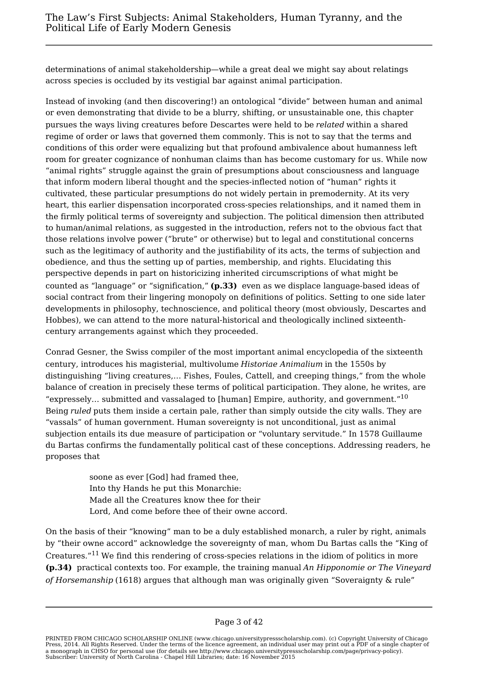determinations of animal stakeholdership—while a great deal we might say about relatings across species is occluded by its vestigial bar against animal participation.

Instead of invoking (and then discovering!) an ontological "divide" between human and animal or even demonstrating that divide to be a blurry, shifting, or unsustainable one, this chapter pursues the ways living creatures before Descartes were held to be *related* within a shared regime of order or laws that governed them commonly. This is not to say that the terms and conditions of this order were equalizing but that profound ambivalence about humanness left room for greater cognizance of nonhuman claims than has become customary for us. While now "animal rights" struggle against the grain of presumptions about consciousness and language that inform modern liberal thought and the species-inflected notion of "human" rights it cultivated, these particular presumptions do not widely pertain in premodernity. At its very heart, this earlier dispensation incorporated cross-species relationships, and it named them in the firmly political terms of sovereignty and subjection. The political dimension then attributed to human/animal relations, as suggested in the introduction, refers not to the obvious fact that those relations involve power ("brute" or otherwise) but to legal and constitutional concerns such as the legitimacy of authority and the justifiability of its acts, the terms of subjection and obedience, and thus the setting up of parties, membership, and rights. Elucidating this perspective depends in part on historicizing inherited circumscriptions of what might be counted as "language" or "signification," **(p.33)** even as we displace language-based ideas of social contract from their lingering monopoly on definitions of politics. Setting to one side later developments in philosophy, technoscience, and political theory (most obviously, Descartes and Hobbes), we can attend to the more natural-historical and theologically inclined sixteenthcentury arrangements against which they proceeded.

Conrad Gesner, the Swiss compiler of the most important animal encyclopedia of the sixteenth century, introduces his magisterial, multivolume *Historiae Animalium* in the 1550s by distinguishing "living creatures,… Fishes, Foules, Cattell, and creeping things," from the whole balance of creation in precisely these terms of political participation. They alone, he writes, are "expressely... submitted and vassalaged to [human] Empire, authority, and government."<sup>10</sup> Being *ruled* puts them inside a certain pale, rather than simply outside the city walls. They are "vassals" of human government. Human sovereignty is not unconditional, just as animal subjection entails its due measure of participation or "voluntary servitude." In 1578 Guillaume du Bartas confirms the fundamentally political cast of these conceptions. Addressing readers, he proposes that

> soone as ever [God] had framed thee, Into thy Hands he put this Monarchie: Made all the Creatures know thee for their Lord, And come before thee of their owne accord.

On the basis of their "knowing" man to be a duly established monarch, a ruler by right, animals by "their owne accord" acknowledge the sovereignty of man, whom Du Bartas calls the "King of Creatures."<sup>11</sup> We find this rendering of cross-species relations in the idiom of politics in more **(p.34)** practical contexts too. For example, the training manual *An Hipponomie or The Vineyard of Horsemanship* (1618) argues that although man was originally given "Soveraignty & rule"

PRINTED FROM CHICAGO SCHOLARSHIP ONLINE (www.chicago.universitypressscholarship.com). (c) Copyright University of Chicago Press, 2014. All Rights Reserved. Under the terms of the licence agreement, an individual user may print out a PDF of a single chapter of a monograph in CHSO for personal use (for details see http://www.chicago.universitypressscholarship.com/page/privacy-policy). Subscriber: University of North Carolina - Chapel Hill Libraries; date: 16 November 2015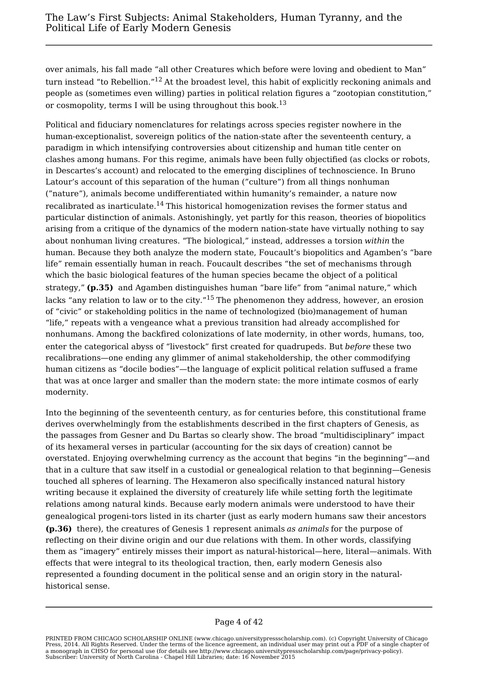over animals, his fall made "all other Creatures which before were loving and obedient to Man" turn instead "to Rebellion."<sup>12</sup> At the broadest level, this habit of explicitly reckoning animals and people as (sometimes even willing) parties in political relation figures a "zootopian constitution," or cosmopolity, terms I will be using throughout this book.<sup>13</sup>

Political and fiduciary nomenclatures for relatings across species register nowhere in the human-exceptionalist, sovereign politics of the nation-state after the seventeenth century, a paradigm in which intensifying controversies about citizenship and human title center on clashes among humans. For this regime, animals have been fully objectified (as clocks or robots, in Descartes's account) and relocated to the emerging disciplines of technoscience. In Bruno Latour's account of this separation of the human ("culture") from all things nonhuman ("nature"), animals become undifferentiated within humanity's remainder, a nature now recalibrated as inarticulate.<sup>14</sup> This historical homogenization revises the former status and particular distinction of animals. Astonishingly, yet partly for this reason, theories of biopolitics arising from a critique of the dynamics of the modern nation-state have virtually nothing to say about nonhuman living creatures. "The biological," instead, addresses a torsion *within* the human. Because they both analyze the modern state, Foucault's biopolitics and Agamben's "bare life" remain essentially human in reach. Foucault describes "the set of mechanisms through which the basic biological features of the human species became the object of a political strategy," **(p.35)** and Agamben distinguishes human "bare life" from "animal nature," which lacks "any relation to law or to the city."<sup>15</sup> The phenomenon they address, however, an erosion of "civic" or stakeholding politics in the name of technologized (bio)management of human "life," repeats with a vengeance what a previous transition had already accomplished for nonhumans. Among the backfired colonizations of late modernity, in other words, humans, too, enter the categorical abyss of "livestock" first created for quadrupeds. But *before* these two recalibrations—one ending any glimmer of animal stakeholdership, the other commodifying human citizens as "docile bodies"—the language of explicit political relation suffused a frame that was at once larger and smaller than the modern state: the more intimate cosmos of early modernity.

Into the beginning of the seventeenth century, as for centuries before, this constitutional frame derives overwhelmingly from the establishments described in the first chapters of Genesis, as the passages from Gesner and Du Bartas so clearly show. The broad "multidisciplinary" impact of its hexameral verses in particular (accounting for the six days of creation) cannot be overstated. Enjoying overwhelming currency as the account that begins "in the beginning"—and that in a culture that saw itself in a custodial or genealogical relation to that beginning—Genesis touched all spheres of learning. The Hexameron also specifically instanced natural history writing because it explained the diversity of creaturely life while setting forth the legitimate relations among natural kinds. Because early modern animals were understood to have their genealogical progeni-tors listed in its charter (just as early modern humans saw their ancestors **(p.36)** there), the creatures of Genesis 1 represent animals *as animals* for the purpose of reflecting on their divine origin and our due relations with them. In other words, classifying them as "imagery" entirely misses their import as natural-historical—here, literal—animals. With effects that were integral to its theological traction, then, early modern Genesis also represented a founding document in the political sense and an origin story in the naturalhistorical sense.

### Page 4 of 42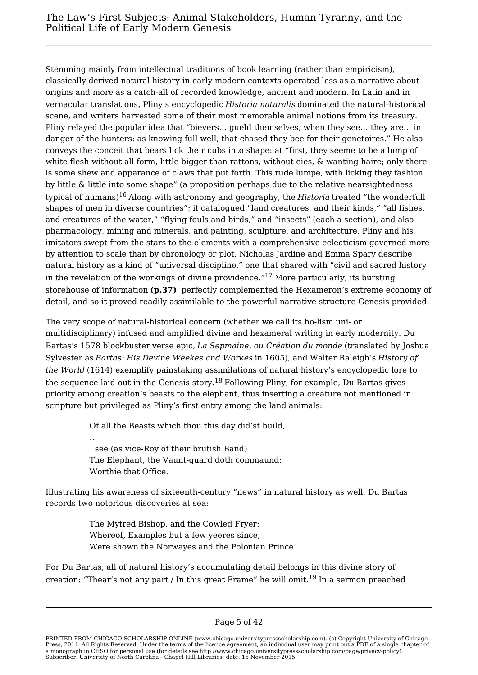Stemming mainly from intellectual traditions of book learning (rather than empiricism), classically derived natural history in early modern contexts operated less as a narrative about origins and more as a catch-all of recorded knowledge, ancient and modern. In Latin and in vernacular translations, Pliny's encyclopedic *Historia naturalis* dominated the natural-historical scene, and writers harvested some of their most memorable animal notions from its treasury. Pliny relayed the popular idea that "bievers… gueld themselves, when they see… they are… in danger of the hunters: as knowing full well, that chased they bee for their genetoires." He also conveys the conceit that bears lick their cubs into shape: at "first, they seeme to be a lump of white flesh without all form, little bigger than rattons, without eies, & wanting haire; only there is some shew and apparance of claws that put forth. This rude lumpe, with licking they fashion by little & little into some shape" (a proposition perhaps due to the relative nearsightedness typical of humans)<sup>16</sup> Along with astronomy and geography, the *Historia* treated "the wonderfull shapes of men in diverse countries"; it catalogued "land creatures, and their kinds," "all fishes, and creatures of the water," "flying fouls and birds," and "insects" (each a section), and also pharmacology, mining and minerals, and painting, sculpture, and architecture. Pliny and his imitators swept from the stars to the elements with a comprehensive eclecticism governed more by attention to scale than by chronology or plot. Nicholas Jardine and Emma Spary describe natural history as a kind of "universal discipline," one that shared with "civil and sacred history in the revelation of the workings of divine providence."<sup>17</sup> More particularly, its bursting storehouse of information **(p.37)** perfectly complemented the Hexameron's extreme economy of detail, and so it proved readily assimilable to the powerful narrative structure Genesis provided.

The very scope of natural-historical concern (whether we call its ho-lism uni- or multidisciplinary) infused and amplified divine and hexameral writing in early modernity. Du Bartas's 1578 blockbuster verse epic, *La Sepmaine, ou Création du monde* (translated by Joshua Sylvester as *Bartas: His Devine Weekes and Workes* in 1605), and Walter Raleigh's *History of the World* (1614) exemplify painstaking assimilations of natural history's encyclopedic lore to the sequence laid out in the Genesis story.<sup>18</sup> Following Pliny, for example, Du Bartas gives priority among creation's beasts to the elephant, thus inserting a creature not mentioned in scripture but privileged as Pliny's first entry among the land animals:

> Of all the Beasts which thou this day did'st build, … I see (as vice-Roy of their brutish Band) The Elephant, the Vaunt-guard doth commaund: Worthie that Office.

Illustrating his awareness of sixteenth-century "news" in natural history as well, Du Bartas records two notorious discoveries at sea:

> The Mytred Bishop, and the Cowled Fryer: Whereof, Examples but a few yeeres since, Were shown the Norwayes and the Polonian Prince.

For Du Bartas, all of natural history's accumulating detail belongs in this divine story of creation: "Thear's not any part / In this great Frame" he will omit.<sup>19</sup> In a sermon preached

PRINTED FROM CHICAGO SCHOLARSHIP ONLINE (www.chicago.universitypressscholarship.com). (c) Copyright University of Chicago Press, 2014. All Rights Reserved. Under the terms of the licence agreement, an individual user may print out a PDF of a single chapter of a monograph in CHSO for personal use (for details see http://www.chicago.universitypressscholarship.com/page/privacy-policy). Subscriber: University of North Carolina - Chapel Hill Libraries; date: 16 November 2015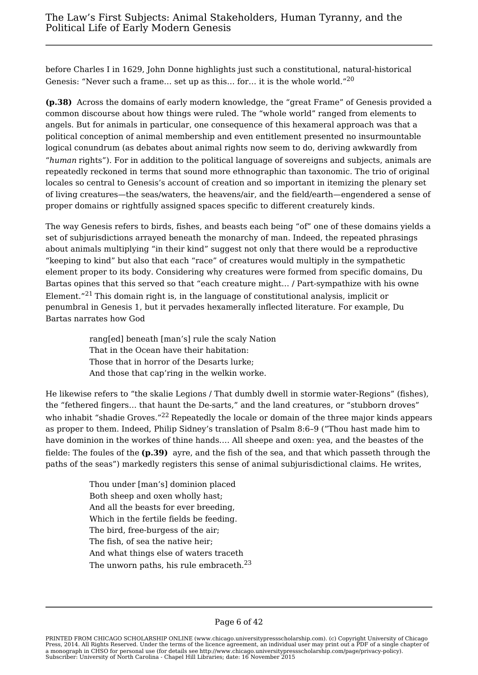before Charles I in 1629, John Donne highlights just such a constitutional, natural-historical Genesis: "Never such a frame… set up as this… for… it is the whole world."<sup>20</sup>

**(p.38)** Across the domains of early modern knowledge, the "great Frame" of Genesis provided a common discourse about how things were ruled. The "whole world" ranged from elements to angels. But for animals in particular, one consequence of this hexameral approach was that a political conception of animal membership and even entitlement presented no insurmountable logical conundrum (as debates about animal rights now seem to do, deriving awkwardly from "*human* rights"). For in addition to the political language of sovereigns and subjects, animals are repeatedly reckoned in terms that sound more ethnographic than taxonomic. The trio of original locales so central to Genesis's account of creation and so important in itemizing the plenary set of living creatures—the seas/waters, the heavens/air, and the field/earth—engendered a sense of proper domains or rightfully assigned spaces specific to different creaturely kinds.

The way Genesis refers to birds, fishes, and beasts each being "of" one of these domains yields a set of subjurisdictions arrayed beneath the monarchy of man. Indeed, the repeated phrasings about animals multiplying "in their kind" suggest not only that there would be a reproductive "keeping to kind" but also that each "race" of creatures would multiply in the sympathetic element proper to its body. Considering why creatures were formed from specific domains, Du Bartas opines that this served so that "each creature might… / Part-sympathize with his owne Element."<sup>21</sup> This domain right is, in the language of constitutional analysis, implicit or penumbral in Genesis 1, but it pervades hexamerally inflected literature. For example, Du Bartas narrates how God

> rang[ed] beneath [man's] rule the scaly Nation That in the Ocean have their habitation: Those that in horror of the Desarts lurke; And those that cap'ring in the welkin worke.

He likewise refers to "the skalie Legions / That dumbly dwell in stormie water-Regions" (fishes), the "fethered fingers… that haunt the De-sarts," and the land creatures, or "stubborn droves" who inhabit "shadie Groves."<sup>22</sup> Repeatedly the locale or domain of the three major kinds appears as proper to them. Indeed, Philip Sidney's translation of Psalm 8:6–9 ("Thou hast made him to have dominion in the workes of thine hands.… All sheepe and oxen: yea, and the beastes of the fielde: The foules of the **(p.39)** ayre, and the fish of the sea, and that which passeth through the paths of the seas") markedly registers this sense of animal subjurisdictional claims. He writes,

> Thou under [man's] dominion placed Both sheep and oxen wholly hast; And all the beasts for ever breeding, Which in the fertile fields be feeding. The bird, free-burgess of the air; The fish, of sea the native heir; And what things else of waters traceth The unworn paths, his rule embraceth. $^{23}$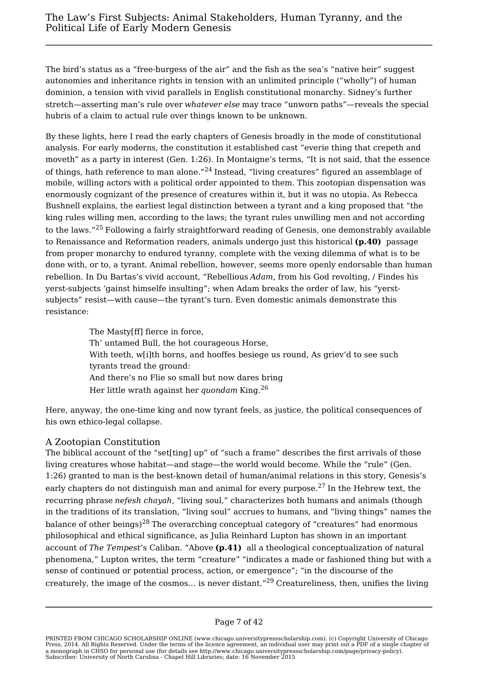The bird's status as a "free-burgess of the air" and the fish as the sea's "native heir" suggest autonomies and inheritance rights in tension with an unlimited principle ("wholly") of human dominion, a tension with vivid parallels in English constitutional monarchy. Sidney's further stretch—asserting man's rule over *whatever else* may trace "unworn paths"—reveals the special hubris of a claim to actual rule over things known to be unknown.

By these lights, here I read the early chapters of Genesis broadly in the mode of constitutional analysis. For early moderns, the constitution it established cast "everie thing that crepeth and moveth" as a party in interest (Gen. 1:26). In Montaigne's terms, "It is not said, that the essence of things, hath reference to man alone."<sup>24</sup> Instead, "living creatures" figured an assemblage of mobile, willing actors with a political order appointed to them. This zootopian dispensation was enormously cognizant of the presence of creatures within it, but it was no utopia. As Rebecca Bushnell explains, the earliest legal distinction between a tyrant and a king proposed that "the king rules willing men, according to the laws; the tyrant rules unwilling men and not according to the laws."<sup>25</sup> Following a fairly straightforward reading of Genesis, one demonstrably available to Renaissance and Reformation readers, animals undergo just this historical **(p.40)** passage from proper monarchy to endured tyranny, complete with the vexing dilemma of what is to be done with, or to, a tyrant. Animal rebellion, however, seems more openly endorsable than human rebellion. In Du Bartas's vivid account, "Rebellious *Adam*, from his God revolting, / Findes his yerst-subjects 'gainst himselfe insulting"; when Adam breaks the order of law, his "yerstsubjects" resist—with cause—the tyrant's turn. Even domestic animals demonstrate this resistance:

> The Masty[ff] fierce in force, Th' untamed Bull, the hot courageous Horse, With teeth, w[i]th horns, and hooffes besiege us round, As griev'd to see such tyrants tread the ground: And there's no Flie so small but now dares bring Her little wrath against her *quondam* King.<sup>26</sup>

Here, anyway, the one-time king and now tyrant feels, as justice, the political consequences of his own ethico-legal collapse.

## A Zootopian Constitution

The biblical account of the "set[ting] up" of "such a frame" describes the first arrivals of those living creatures whose habitat—and stage—the world would become. While the "rule" (Gen. 1:26) granted to man is the best-known detail of human/animal relations in this story, Genesis's early chapters do not distinguish man and animal for every purpose.<sup>27</sup> In the Hebrew text, the recurring phrase *nefesh chayah*, "living soul," characterizes both humans and animals (though in the traditions of its translation, "living soul" accrues to humans, and "living things" names the balance of other beings)<sup>28</sup> The overarching conceptual category of "creatures" had enormous philosophical and ethical significance, as Julia Reinhard Lupton has shown in an important account of *The Tempest*'s Caliban. "Above **(p.41)** all a theological conceptualization of natural phenomena," Lupton writes, the term "creature" "indicates a made or fashioned thing but with a sense of continued or potential process, action, or emergence"; "in the discourse of the creaturely, the image of the cosmos… is never distant."<sup>29</sup> Creatureliness, then, unifies the living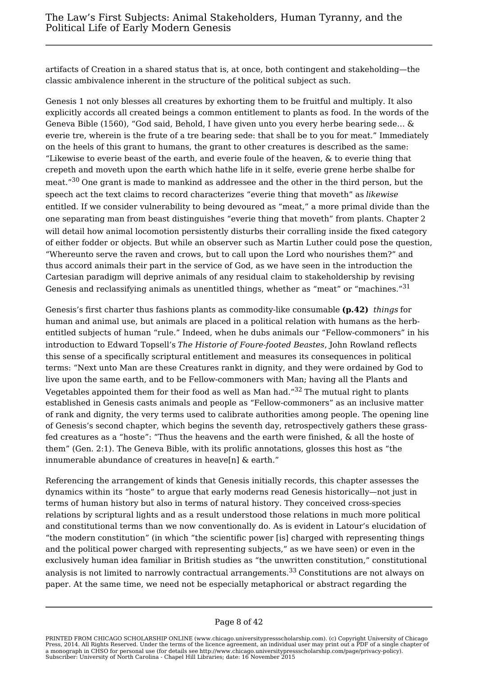artifacts of Creation in a shared status that is, at once, both contingent and stakeholding—the classic ambivalence inherent in the structure of the political subject as such.

Genesis 1 not only blesses all creatures by exhorting them to be fruitful and multiply. It also explicitly accords all created beings a common entitlement to plants as food. In the words of the Geneva Bible (1560), "God said, Behold, I have given unto you every herbe bearing sede… & everie tre, wherein is the frute of a tre bearing sede: that shall be to you for meat." Immediately on the heels of this grant to humans, the grant to other creatures is described as the same: "Likewise to everie beast of the earth, and everie foule of the heaven, & to everie thing that crepeth and moveth upon the earth which hathe life in it selfe, everie grene herbe shalbe for meat."<sup>30</sup> One grant is made to mankind as addressee and the other in the third person, but the speech act the text claims to record characterizes "everie thing that moveth" as *likewise* entitled. If we consider vulnerability to being devoured as "meat," a more primal divide than the one separating man from beast distinguishes "everie thing that moveth" from plants. Chapter 2 will detail how animal locomotion persistently disturbs their corralling inside the fixed category of either fodder or objects. But while an observer such as Martin Luther could pose the question, "Whereunto serve the raven and crows, but to call upon the Lord who nourishes them?" and thus accord animals their part in the service of God, as we have seen in the introduction the Cartesian paradigm will deprive animals of any residual claim to stakeholdership by revising Genesis and reclassifying animals as unentitled things, whether as "meat" or "machines."<sup>31</sup>

Genesis's first charter thus fashions plants as commodity-like consumable **(p.42)** *things* for human and animal use, but animals are placed in a political relation with humans as the herbentitled subjects of human "rule." Indeed, when he dubs animals our "Fellow-commoners" in his introduction to Edward Topsell's *The Historie of Foure-footed Beastes*, John Rowland reflects this sense of a specifically scriptural entitlement and measures its consequences in political terms: "Next unto Man are these Creatures rankt in dignity, and they were ordained by God to live upon the same earth, and to be Fellow-commoners with Man; having all the Plants and Vegetables appointed them for their food as well as Man had." $32$  The mutual right to plants established in Genesis casts animals and people as "Fellow-commoners" as an inclusive matter of rank and dignity, the very terms used to calibrate authorities among people. The opening line of Genesis's second chapter, which begins the seventh day, retrospectively gathers these grassfed creatures as a "hoste": "Thus the heavens and the earth were finished, & all the hoste of them" (Gen. 2:1). The Geneva Bible, with its prolific annotations, glosses this host as "the innumerable abundance of creatures in heave[n] & earth."

Referencing the arrangement of kinds that Genesis initially records, this chapter assesses the dynamics within its "hoste" to argue that early moderns read Genesis historically—not just in terms of human history but also in terms of natural history. They conceived cross-species relations by scriptural lights and as a result understood those relations in much more political and constitutional terms than we now conventionally do. As is evident in Latour's elucidation of "the modern constitution" (in which "the scientific power [is] charged with representing things and the political power charged with representing subjects," as we have seen) or even in the exclusively human idea familiar in British studies as "the unwritten constitution," constitutional analysis is not limited to narrowly contractual arrangements.<sup>33</sup> Constitutions are not always on paper. At the same time, we need not be especially metaphorical or abstract regarding the

## Page 8 of 42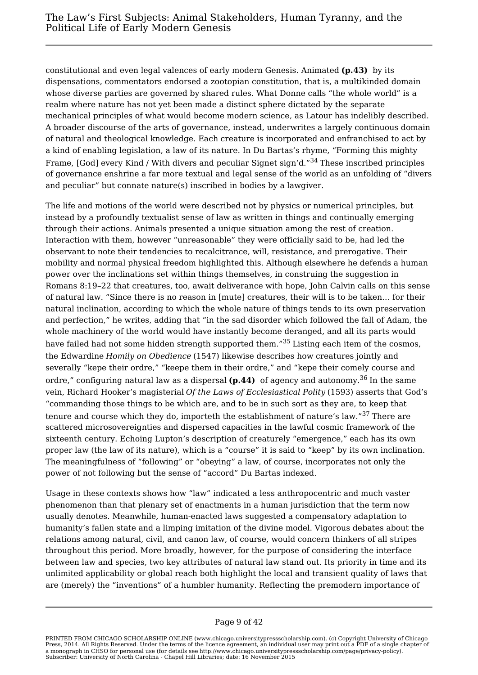constitutional and even legal valences of early modern Genesis. Animated **(p.43)** by its dispensations, commentators endorsed a zootopian constitution, that is, a multikinded domain whose diverse parties are governed by shared rules. What Donne calls "the whole world" is a realm where nature has not yet been made a distinct sphere dictated by the separate mechanical principles of what would become modern science, as Latour has indelibly described. A broader discourse of the arts of governance, instead, underwrites a largely continuous domain of natural and theological knowledge. Each creature is incorporated and enfranchised to act by a kind of enabling legislation, a law of its nature. In Du Bartas's rhyme, "Forming this mighty Frame, [God] every Kind / With divers and peculiar Signet sign'd."<sup>34</sup> These inscribed principles of governance enshrine a far more textual and legal sense of the world as an unfolding of "divers and peculiar" but connate nature(s) inscribed in bodies by a lawgiver.

The life and motions of the world were described not by physics or numerical principles, but instead by a profoundly textualist sense of law as written in things and continually emerging through their actions. Animals presented a unique situation among the rest of creation. Interaction with them, however "unreasonable" they were officially said to be, had led the observant to note their tendencies to recalcitrance, will, resistance, and prerogative. Their mobility and normal physical freedom highlighted this. Although elsewhere he defends a human power over the inclinations set within things themselves, in construing the suggestion in Romans 8:19–22 that creatures, too, await deliverance with hope, John Calvin calls on this sense of natural law. "Since there is no reason in [mute] creatures, their will is to be taken… for their natural inclination, according to which the whole nature of things tends to its own preservation and perfection," he writes, adding that "in the sad disorder which followed the fall of Adam, the whole machinery of the world would have instantly become deranged, and all its parts would have failed had not some hidden strength supported them."<sup>35</sup> Listing each item of the cosmos, the Edwardine *Homily on Obedience* (1547) likewise describes how creatures jointly and severally "kepe their ordre," "keepe them in their ordre," and "kepe their comely course and ordre," configuring natural law as a dispersal (p.44) of agency and autonomy.<sup>36</sup> In the same vein, Richard Hooker's magisterial *Of the Laws of Ecclesiastical Polity* (1593) asserts that God's "commanding those things to be which are, and to be in such sort as they are, to keep that tenure and course which they do, importeth the establishment of nature's law."<sup>37</sup> There are scattered microsovereignties and dispersed capacities in the lawful cosmic framework of the sixteenth century. Echoing Lupton's description of creaturely "emergence," each has its own proper law (the law of its nature), which is a "course" it is said to "keep" by its own inclination. The meaningfulness of "following" or "obeying" a law, of course, incorporates not only the power of not following but the sense of "accord" Du Bartas indexed.

Usage in these contexts shows how "law" indicated a less anthropocentric and much vaster phenomenon than that plenary set of enactments in a human jurisdiction that the term now usually denotes. Meanwhile, human-enacted laws suggested a compensatory adaptation to humanity's fallen state and a limping imitation of the divine model. Vigorous debates about the relations among natural, civil, and canon law, of course, would concern thinkers of all stripes throughout this period. More broadly, however, for the purpose of considering the interface between law and species, two key attributes of natural law stand out. Its priority in time and its unlimited applicability or global reach both highlight the local and transient quality of laws that are (merely) the "inventions" of a humbler humanity. Reflecting the premodern importance of

### Page 9 of 42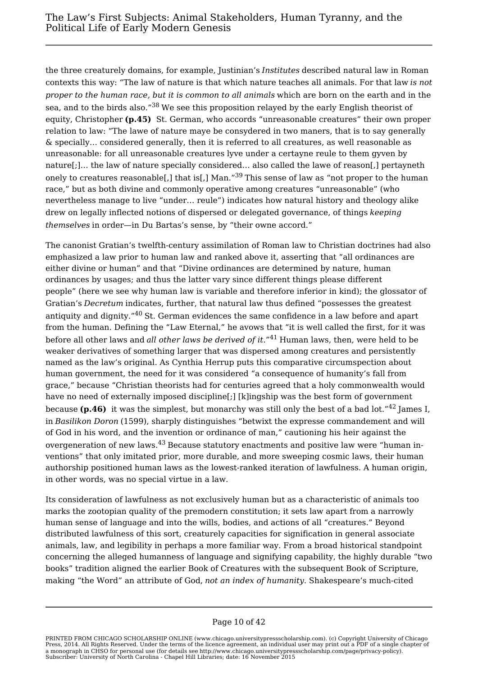the three creaturely domains, for example, Justinian's *Institutes* described natural law in Roman contexts this way: "The law of nature is that which nature teaches all animals. For that law *is not proper to the human race, but it is common to all animals* which are born on the earth and in the sea, and to the birds also."<sup>38</sup> We see this proposition relayed by the early English theorist of equity, Christopher **(p.45)** St. German, who accords "unreasonable creatures" their own proper relation to law: "The lawe of nature maye be consydered in two maners, that is to say generally & specially… considered generally, then it is referred to all creatures, as well reasonable as unreasonable: for all unreasonable creatures lyve under a certayne reule to them gyven by nature[;]… the law of nature specially considered… also called the lawe of reason[,] pertayneth onely to creatures reasonable[,] that is[,] Man."<sup>39</sup> This sense of law as "not proper to the human race," but as both divine and commonly operative among creatures "unreasonable" (who nevertheless manage to live "under… reule") indicates how natural history and theology alike drew on legally inflected notions of dispersed or delegated governance, of things *keeping themselves* in order—in Du Bartas's sense, by "their owne accord."

The canonist Gratian's twelfth-century assimilation of Roman law to Christian doctrines had also emphasized a law prior to human law and ranked above it, asserting that "all ordinances are either divine or human" and that "Divine ordinances are determined by nature, human ordinances by usages; and thus the latter vary since different things please different people" (here we see why human law is variable and therefore inferior in kind); the glossator of Gratian's *Decretum* indicates, further, that natural law thus defined "possesses the greatest antiquity and dignity."<sup>40</sup> St. German evidences the same confidence in a law before and apart from the human. Defining the "Law Eternal," he avows that "it is well called the first, for it was before all other laws and *all other laws be derived of it*."<sup>41</sup> Human laws, then, were held to be weaker derivatives of something larger that was dispersed among creatures and persistently named as the law's original. As Cynthia Herrup puts this comparative circumspection about human government, the need for it was considered "a consequence of humanity's fall from grace," because "Christian theorists had for centuries agreed that a holy commonwealth would have no need of externally imposed discipline[;] [k]ingship was the best form of government because **(p.46)** it was the simplest, but monarchy was still only the best of a bad lot."<sup>42</sup> James I, in *Basilikon Doron* (1599), sharply distinguishes "betwixt the expresse commandement and will of God in his word, and the invention or ordinance of man," cautioning his heir against the overgeneration of new laws.<sup>43</sup> Because statutory enactments and positive law were "human inventions" that only imitated prior, more durable, and more sweeping cosmic laws, their human authorship positioned human laws as the lowest-ranked iteration of lawfulness. A human origin, in other words, was no special virtue in a law.

Its consideration of lawfulness as not exclusively human but as a characteristic of animals too marks the zootopian quality of the premodern constitution; it sets law apart from a narrowly human sense of language and into the wills, bodies, and actions of all "creatures." Beyond distributed lawfulness of this sort, creaturely capacities for signification in general associate animals, law, and legibility in perhaps a more familiar way. From a broad historical standpoint concerning the alleged humanness of language and signifying capability, the highly durable "two books" tradition aligned the earlier Book of Creatures with the subsequent Book of Scripture, making "the Word" an attribute of God, *not an index of humanity*. Shakespeare's much-cited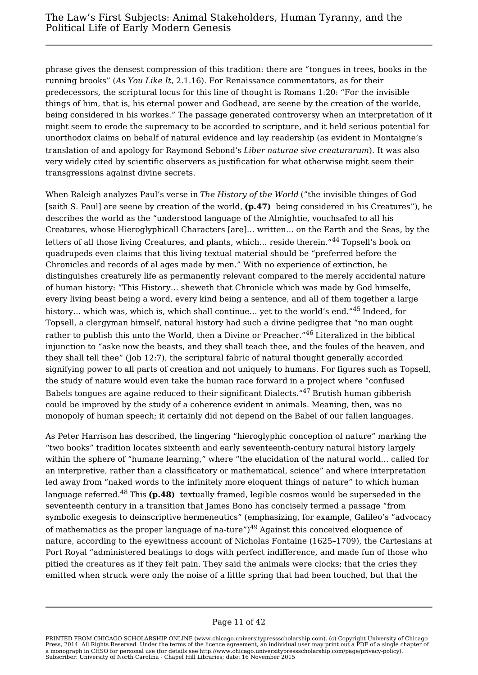phrase gives the densest compression of this tradition: there are "tongues in trees, books in the running brooks" (*As You Like It*, 2.1.16). For Renaissance commentators, as for their predecessors, the scriptural locus for this line of thought is Romans 1:20: "For the invisible things of him, that is, his eternal power and Godhead, are seene by the creation of the worlde, being considered in his workes." The passage generated controversy when an interpretation of it might seem to erode the supremacy to be accorded to scripture, and it held serious potential for unorthodox claims on behalf of natural evidence and lay readership (as evident in Montaigne's translation of and apology for Raymond Sebond's *Liber naturae sive creaturarum*). It was also very widely cited by scientific observers as justification for what otherwise might seem their transgressions against divine secrets.

When Raleigh analyzes Paul's verse in *The History of the World* ("the invisible thinges of God [saith S. Paul] are seene by creation of the world, **(p.47)** being considered in his Creatures"), he describes the world as the "understood language of the Almightie, vouchsafed to all his Creatures, whose Hieroglyphicall Characters [are]… written… on the Earth and the Seas, by the letters of all those living Creatures, and plants, which… reside therein."<sup>44</sup> Topsell's book on quadrupeds even claims that this living textual material should be "preferred before the Chronicles and records of al ages made by men." With no experience of extinction, he distinguishes creaturely life as permanently relevant compared to the merely accidental nature of human history: "This History… sheweth that Chronicle which was made by God himselfe, every living beast being a word, every kind being a sentence, and all of them together a large history... which was, which is, which shall continue... yet to the world's end."<sup>45</sup> Indeed, for Topsell, a clergyman himself, natural history had such a divine pedigree that "no man ought rather to publish this unto the World, then a Divine or Preacher."<sup>46</sup> Literalized in the biblical injunction to "aske now the beasts, and they shall teach thee, and the foules of the heaven, and they shall tell thee" (Job 12:7), the scriptural fabric of natural thought generally accorded signifying power to all parts of creation and not uniquely to humans. For figures such as Topsell, the study of nature would even take the human race forward in a project where "confused Babels tongues are againe reduced to their significant Dialects."<sup>47</sup> Brutish human gibberish could be improved by the study of a coherence evident in animals. Meaning, then, was no monopoly of human speech; it certainly did not depend on the Babel of our fallen languages.

As Peter Harrison has described, the lingering "hieroglyphic conception of nature" marking the "two books" tradition locates sixteenth and early seventeenth-century natural history largely within the sphere of "humane learning," where "the elucidation of the natural world… called for an interpretive, rather than a classificatory or mathematical, science" and where interpretation led away from "naked words to the infinitely more eloquent things of nature" to which human language referred.<sup>48</sup> This (p.48) textually framed, legible cosmos would be superseded in the seventeenth century in a transition that James Bono has concisely termed a passage "from symbolic exegesis to deinscriptive hermeneutics" (emphasizing, for example, Galileo's "advocacy of mathematics as the proper language of na-ture" $149$  Against this conceived eloquence of nature, according to the eyewitness account of Nicholas Fontaine (1625–1709), the Cartesians at Port Royal "administered beatings to dogs with perfect indifference, and made fun of those who pitied the creatures as if they felt pain. They said the animals were clocks; that the cries they emitted when struck were only the noise of a little spring that had been touched, but that the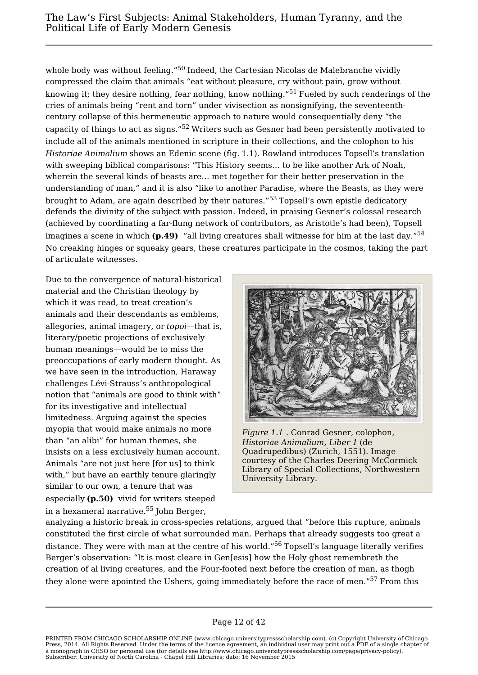whole body was without feeling."<sup>50</sup> Indeed, the Cartesian Nicolas de Malebranche vividly compressed the claim that animals "eat without pleasure, cry without pain, grow without knowing it; they desire nothing, fear nothing, know nothing."<sup>51</sup> Fueled by such renderings of the cries of animals being "rent and torn" under vivisection as nonsignifying, the seventeenthcentury collapse of this hermeneutic approach to nature would consequentially deny "the capacity of things to act as signs."<sup>52</sup> Writers such as Gesner had been persistently motivated to include all of the animals mentioned in scripture in their collections, and the colophon to his *Historiae Animalium* shows an Edenic scene (fig. 1.1). Rowland introduces Topsell's translation with sweeping biblical comparisons: "This History seems… to be like another Ark of Noah, wherein the several kinds of beasts are… met together for their better preservation in the understanding of man," and it is also "like to another Paradise, where the Beasts, as they were brought to Adam, are again described by their natures."<sup>53</sup> Topsell's own epistle dedicatory defends the divinity of the subject with passion. Indeed, in praising Gesner's colossal research (achieved by coordinating a far-flung network of contributors, as Aristotle's had been), Topsell imagines a scene in which **(p.49)** "all living creatures shall witnesse for him at the last day."<sup>54</sup> No creaking hinges or squeaky gears, these creatures participate in the cosmos, taking the part of articulate witnesses.

Due to the convergence of natural-historical material and the Christian theology by which it was read, to treat creation's animals and their descendants as emblems, allegories, animal imagery, or *topoi*—that is, literary/poetic projections of exclusively human meanings—would be to miss the preoccupations of early modern thought. As we have seen in the introduction, Haraway challenges Lévi-Strauss's anthropological notion that "animals are good to think with" for its investigative and intellectual limitedness. Arguing against the species myopia that would make animals no more than "an alibi" for human themes, she insists on a less exclusively human account. Animals "are not just here [for us] to think with," but have an earthly tenure glaringly similar to our own, a tenure that was especially **(p.50)** vivid for writers steeped in a hexameral narrative.<sup>55</sup> John Berger,



*Figure 1.1* . Conrad Gesner, colophon, *Historiae Animalium, Liber 1* (de Quadrupedibus) (Zurich, 1551). Image courtesy of the Charles Deering McCormick Library of Special Collections, Northwestern University Library.

analyzing a historic break in cross-species relations, argued that "before this rupture, animals constituted the first circle of what surrounded man. Perhaps that already suggests too great a distance. They were with man at the centre of his world."<sup>56</sup> Topsell's language literally verifies Berger's observation: "It is most cleare in Gen[esis] how the Holy ghost remembreth the creation of al living creatures, and the Four-footed next before the creation of man, as thogh they alone were apointed the Ushers, going immediately before the race of men."<sup>57</sup> From this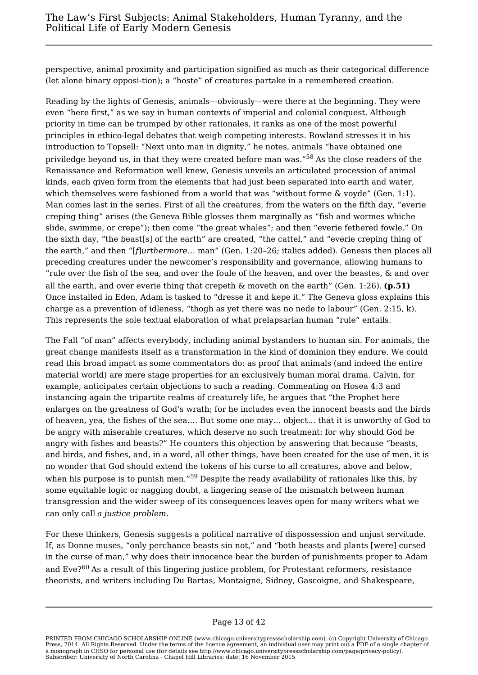perspective, animal proximity and participation signified as much as their categorical difference (let alone binary opposi-tion); a "hoste" of creatures partake in a remembered creation.

Reading by the lights of Genesis, animals—obviously—were there at the beginning. They were even "here first," as we say in human contexts of imperial and colonial conquest. Although priority in time can be trumped by other rationales, it ranks as one of the most powerful principles in ethico-legal debates that weigh competing interests. Rowland stresses it in his introduction to Topsell: "Next unto man in dignity," he notes, animals "have obtained one priviledge beyond us, in that they were created before man was."<sup>58</sup> As the close readers of the Renaissance and Reformation well knew, Genesis unveils an articulated procession of animal kinds, each given form from the elements that had just been separated into earth and water, which themselves were fashioned from a world that was "without forme & voyde" (Gen. 1:1). Man comes last in the series. First of all the creatures, from the waters on the fifth day, "everie creping thing" arises (the Geneva Bible glosses them marginally as "fish and wormes whiche slide, swimme, or crepe"); then come "the great whales"; and then "everie fethered fowle." On the sixth day, "the beast[s] of the earth" are created, "the cattel," and "everie creping thing of the earth," and then "[*f*]*urthermore*… man" (Gen. 1:20–26; italics added). Genesis then places all preceding creatures under the newcomer's responsibility and governance, allowing humans to "rule over the fish of the sea, and over the foule of the heaven, and over the beastes, & and over all the earth, and over everie thing that crepeth & moveth on the earth" (Gen. 1:26). **(p.51)** Once installed in Eden, Adam is tasked to "dresse it and kepe it." The Geneva gloss explains this charge as a prevention of idleness, "thogh as yet there was no nede to labour" (Gen. 2:15, k). This represents the sole textual elaboration of what prelapsarian human "rule" entails.

The Fall "of man" affects everybody, including animal bystanders to human sin. For animals, the great change manifests itself as a transformation in the kind of dominion they endure. We could read this broad impact as some commentators do: as proof that animals (and indeed the entire material world) are mere stage properties for an exclusively human moral drama. Calvin, for example, anticipates certain objections to such a reading. Commenting on Hosea 4:3 and instancing again the tripartite realms of creaturely life, he argues that "the Prophet here enlarges on the greatness of God's wrath; for he includes even the innocent beasts and the birds of heaven, yea, the fishes of the sea.… But some one may… object… that it is unworthy of God to be angry with miserable creatures, which deserve no such treatment: for why should God be angry with fishes and beasts?" He counters this objection by answering that because "beasts, and birds, and fishes, and, in a word, all other things, have been created for the use of men, it is no wonder that God should extend the tokens of his curse to all creatures, above and below, when his purpose is to punish men."<sup>59</sup> Despite the ready availability of rationales like this, by some equitable logic or nagging doubt, a lingering sense of the mismatch between human transgression and the wider sweep of its consequences leaves open for many writers what we can only call *a justice problem*.

For these thinkers, Genesis suggests a political narrative of dispossession and unjust servitude. If, as Donne muses, "only perchance beasts sin not," and "both beasts and plants [were] cursed in the curse of man," why does their innocence bear the burden of punishments proper to Adam and Eve?<sup>60</sup> As a result of this lingering justice problem, for Protestant reformers, resistance theorists, and writers including Du Bartas, Montaigne, Sidney, Gascoigne, and Shakespeare,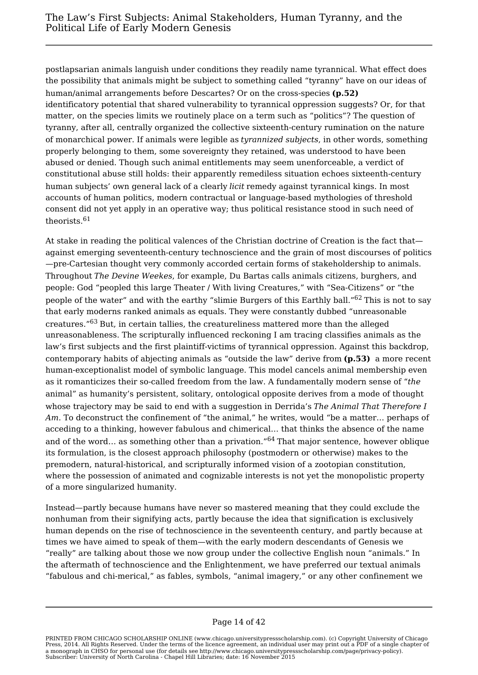postlapsarian animals languish under conditions they readily name tyrannical. What effect does the possibility that animals might be subject to something called "tyranny" have on our ideas of human/animal arrangements before Descartes? Or on the cross-species **(p.52)** identificatory potential that shared vulnerability to tyrannical oppression suggests? Or, for that matter, on the species limits we routinely place on a term such as "politics"? The question of tyranny, after all, centrally organized the collective sixteenth-century rumination on the nature of monarchical power. If animals were legible as *tyrannized subjects*, in other words, something properly belonging to them, some sovereignty they retained, was understood to have been abused or denied. Though such animal entitlements may seem unenforceable, a verdict of constitutional abuse still holds: their apparently remediless situation echoes sixteenth-century human subjects' own general lack of a clearly *licit* remedy against tyrannical kings. In most accounts of human politics, modern contractual or language-based mythologies of threshold consent did not yet apply in an operative way; thus political resistance stood in such need of theorists.<sup>61</sup>

At stake in reading the political valences of the Christian doctrine of Creation is the fact that against emerging seventeenth-century technoscience and the grain of most discourses of politics —pre-Cartesian thought very commonly accorded certain forms of stakeholdership to animals. Throughout *The Devine Weekes*, for example, Du Bartas calls animals citizens, burghers, and people: God "peopled this large Theater / With living Creatures," with "Sea-Citizens" or "the people of the water" and with the earthy "slimie Burgers of this Earthly ball."<sup>62</sup> This is not to say that early moderns ranked animals as equals. They were constantly dubbed "unreasonable creatures."<sup>63</sup> But, in certain tallies, the creatureliness mattered more than the alleged unreasonableness. The scripturally influenced reckoning I am tracing classifies animals as the law's first subjects and the first plaintiff-victims of tyrannical oppression. Against this backdrop, contemporary habits of abjecting animals as "outside the law" derive from **(p.53)** a more recent human-exceptionalist model of symbolic language. This model cancels animal membership even as it romanticizes their so-called freedom from the law. A fundamentally modern sense of "*the* animal" as humanity's persistent, solitary, ontological opposite derives from a mode of thought whose trajectory may be said to end with a suggestion in Derrida's *The Animal That Therefore I Am*. To deconstruct the confinement of "the animal," he writes, would "be a matter… perhaps of acceding to a thinking, however fabulous and chimerical… that thinks the absence of the name and of the word... as something other than a privation."<sup>64</sup> That major sentence, however oblique its formulation, is the closest approach philosophy (postmodern or otherwise) makes to the premodern, natural-historical, and scripturally informed vision of a zootopian constitution, where the possession of animated and cognizable interests is not yet the monopolistic property of a more singularized humanity.

Instead—partly because humans have never so mastered meaning that they could exclude the nonhuman from their signifying acts, partly because the idea that signification is exclusively human depends on the rise of technoscience in the seventeenth century, and partly because at times we have aimed to speak of them—with the early modern descendants of Genesis we "really" are talking about those we now group under the collective English noun "animals." In the aftermath of technoscience and the Enlightenment, we have preferred our textual animals "fabulous and chi-merical," as fables, symbols, "animal imagery," or any other confinement we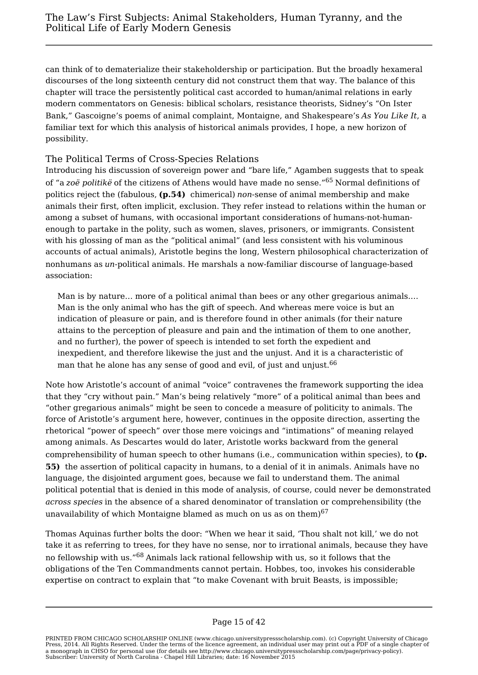can think of to dematerialize their stakeholdership or participation. But the broadly hexameral discourses of the long sixteenth century did not construct them that way. The balance of this chapter will trace the persistently political cast accorded to human/animal relations in early modern commentators on Genesis: biblical scholars, resistance theorists, Sidney's "On Ister Bank," Gascoigne's poems of animal complaint, Montaigne, and Shakespeare's *As You Like It*, a familiar text for which this analysis of historical animals provides, I hope, a new horizon of possibility.

## The Political Terms of Cross-Species Relations

Introducing his discussion of sovereign power and "bare life," Agamben suggests that to speak of "a *zoë politikë* of the citizens of Athens would have made no sense."<sup>65</sup> Normal definitions of politics reject the (fabulous, **(p.54)** chimerical) *non*-sense of animal membership and make animals their first, often implicit, exclusion. They refer instead to relations within the human or among a subset of humans, with occasional important considerations of humans-not-humanenough to partake in the polity, such as women, slaves, prisoners, or immigrants. Consistent with his glossing of man as the "political animal" (and less consistent with his voluminous accounts of actual animals), Aristotle begins the long, Western philosophical characterization of nonhumans as *un*-political animals. He marshals a now-familiar discourse of language-based association:

Man is by nature… more of a political animal than bees or any other gregarious animals.… Man is the only animal who has the gift of speech. And whereas mere voice is but an indication of pleasure or pain, and is therefore found in other animals (for their nature attains to the perception of pleasure and pain and the intimation of them to one another, and no further), the power of speech is intended to set forth the expedient and inexpedient, and therefore likewise the just and the unjust. And it is a characteristic of man that he alone has any sense of good and evil, of just and unjust.<sup>66</sup>

Note how Aristotle's account of animal "voice" contravenes the framework supporting the idea that they "cry without pain." Man's being relatively "more" of a political animal than bees and "other gregarious animals" might be seen to concede a measure of politicity to animals. The force of Aristotle's argument here, however, continues in the opposite direction, asserting the rhetorical "power of speech" over those mere voicings and "intimations" of meaning relayed among animals. As Descartes would do later, Aristotle works backward from the general comprehensibility of human speech to other humans (i.e., communication within species), to **(p. 55)** the assertion of political capacity in humans, to a denial of it in animals. Animals have no language, the disjointed argument goes, because we fail to understand them. The animal political potential that is denied in this mode of analysis, of course, could never be demonstrated *across species* in the absence of a shared denominator of translation or comprehensibility (the unavailability of which Montaigne blamed as much on us as on them) $67$ 

Thomas Aquinas further bolts the door: "When we hear it said, 'Thou shalt not kill,' we do not take it as referring to trees, for they have no sense, nor to irrational animals, because they have no fellowship with us."<sup>68</sup> Animals lack rational fellowship with us, so it follows that the obligations of the Ten Commandments cannot pertain. Hobbes, too, invokes his considerable expertise on contract to explain that "to make Covenant with bruit Beasts, is impossible;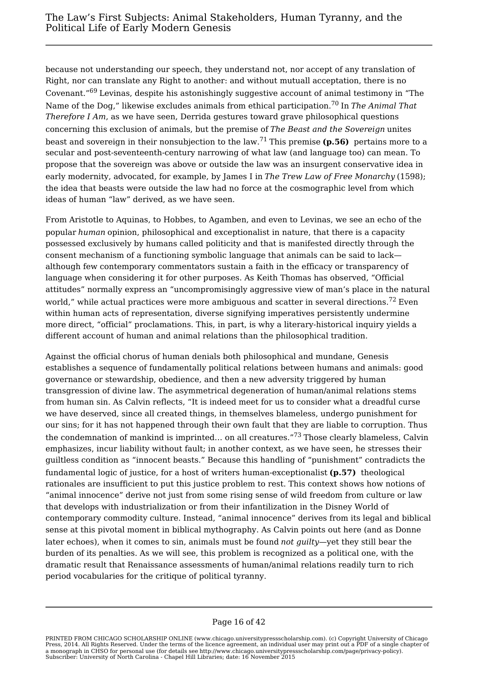because not understanding our speech, they understand not, nor accept of any translation of Right, nor can translate any Right to another: and without mutuall acceptation, there is no Covenant."<sup>69</sup> Levinas, despite his astonishingly suggestive account of animal testimony in "The Name of the Dog," likewise excludes animals from ethical participation.<sup>70</sup> In *The Animal That Therefore I Am*, as we have seen, Derrida gestures toward grave philosophical questions concerning this exclusion of animals, but the premise of *The Beast and the Sovereign* unites beast and sovereign in their nonsubjection to the law.<sup>71</sup> This premise **(p.56)** pertains more to a secular and post-seventeenth-century narrowing of what law (and language too) can mean. To propose that the sovereign was above or outside the law was an insurgent conservative idea in early modernity, advocated, for example, by James I in *The Trew Law of Free Monarchy* (1598); the idea that beasts were outside the law had no force at the cosmographic level from which ideas of human "law" derived, as we have seen.

From Aristotle to Aquinas, to Hobbes, to Agamben, and even to Levinas, we see an echo of the popular *human* opinion, philosophical and exceptionalist in nature, that there is a capacity possessed exclusively by humans called politicity and that is manifested directly through the consent mechanism of a functioning symbolic language that animals can be said to lack although few contemporary commentators sustain a faith in the efficacy or transparency of language when considering it for other purposes. As Keith Thomas has observed, "Official attitudes" normally express an "uncompromisingly aggressive view of man's place in the natural world," while actual practices were more ambiguous and scatter in several directions.<sup>72</sup> Even within human acts of representation, diverse signifying imperatives persistently undermine more direct, "official" proclamations. This, in part, is why a literary-historical inquiry yields a different account of human and animal relations than the philosophical tradition.

Against the official chorus of human denials both philosophical and mundane, Genesis establishes a sequence of fundamentally political relations between humans and animals: good governance or stewardship, obedience, and then a new adversity triggered by human transgression of divine law. The asymmetrical degeneration of human/animal relations stems from human sin. As Calvin reflects, "It is indeed meet for us to consider what a dreadful curse we have deserved, since all created things, in themselves blameless, undergo punishment for our sins; for it has not happened through their own fault that they are liable to corruption. Thus the condemnation of mankind is imprinted… on all creatures."<sup>73</sup> Those clearly blameless, Calvin emphasizes, incur liability without fault; in another context, as we have seen, he stresses their guiltless condition as "innocent beasts." Because this handling of "punishment" contradicts the fundamental logic of justice, for a host of writers human-exceptionalist **(p.57)** theological rationales are insufficient to put this justice problem to rest. This context shows how notions of "animal innocence" derive not just from some rising sense of wild freedom from culture or law that develops with industrialization or from their infantilization in the Disney World of contemporary commodity culture. Instead, "animal innocence" derives from its legal and biblical sense at this pivotal moment in biblical mythography. As Calvin points out here (and as Donne later echoes), when it comes to sin, animals must be found *not guilty*—yet they still bear the burden of its penalties. As we will see, this problem is recognized as a political one, with the dramatic result that Renaissance assessments of human/animal relations readily turn to rich period vocabularies for the critique of political tyranny.

PRINTED FROM CHICAGO SCHOLARSHIP ONLINE (www.chicago.universitypressscholarship.com). (c) Copyright University of Chicago Press, 2014. All Rights Reserved. Under the terms of the licence agreement, an individual user may print out a PDF of a single chapter of a monograph in CHSO for personal use (for details see http://www.chicago.universitypressscholarship.com/page/privacy-policy). Subscriber: University of North Carolina - Chapel Hill Libraries; date: 16 November 2015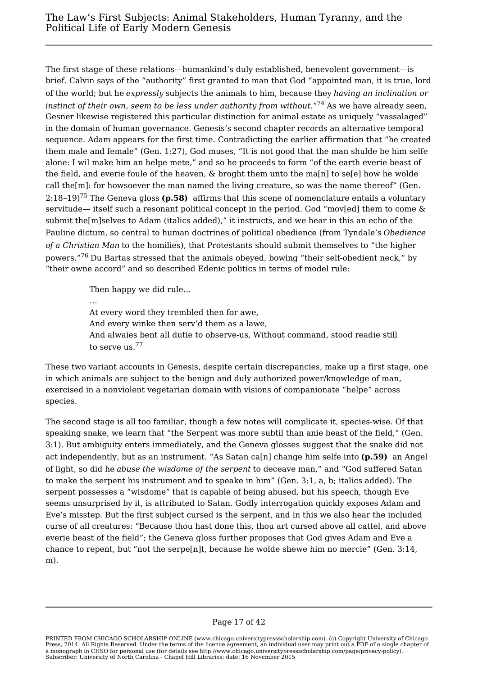The first stage of these relations—humankind's duly established, benevolent government—is brief. Calvin says of the "authority" first granted to man that God "appointed man, it is true, lord of the world; but he *expressly* subjects the animals to him, because they *having an inclination or* instinct of their own, seem to be less under authority from without."<sup>74</sup> As we have already seen, Gesner likewise registered this particular distinction for animal estate as uniquely "vassalaged" in the domain of human governance. Genesis's second chapter records an alternative temporal sequence. Adam appears for the first time. Contradicting the earlier affirmation that "he created them male and female" (Gen. 1:27), God muses, "It is not good that the man shulde be him selfe alone: I wil make him an helpe mete," and so he proceeds to form "of the earth everie beast of the field, and everie foule of the heaven, & broght them unto the ma[n] to se[e] how he wolde call the[m]: for howsoever the man named the living creature, so was the name thereof" (Gen. 2:18–19)<sup>75</sup> The Geneva gloss **(p.58)** affirms that this scene of nomenclature entails a voluntary servitude— itself such a resonant political concept in the period. God "mov[ed] them to come & submit the[m]selves to Adam (italics added)," it instructs, and we hear in this an echo of the Pauline dictum, so central to human doctrines of political obedience (from Tyndale's *Obedience of a Christian Man* to the homilies), that Protestants should submit themselves to "the higher powers."<sup>76</sup> Du Bartas stressed that the animals obeyed, bowing "their self-obedient neck," by "their owne accord" and so described Edenic politics in terms of model rule:

Then happy we did rule…

… At every word they trembled then for awe, And every winke then serv'd them as a lawe, And alwaies bent all dutie to observe-us, Without command, stood readie still to serve us.<sup>77</sup>

These two variant accounts in Genesis, despite certain discrepancies, make up a first stage, one in which animals are subject to the benign and duly authorized power/knowledge of man, exercised in a nonviolent vegetarian domain with visions of companionate "helpe" across species.

The second stage is all too familiar, though a few notes will complicate it, species-wise. Of that speaking snake, we learn that "the Serpent was more subtil than anie beast of the field," (Gen. 3:1). But ambiguity enters immediately, and the Geneva glosses suggest that the snake did not act independently, but as an instrument. "As Satan ca[n] change him selfe into **(p.59)** an Angel of light, so did he *abuse the wisdome of the serpent* to deceave man," and "God suffered Satan to make the serpent his instrument and to speake in him" (Gen. 3:1, a, b; italics added). The serpent possesses a "wisdome" that is capable of being abused, but his speech, though Eve seems unsurprised by it, is attributed to Satan. Godly interrogation quickly exposes Adam and Eve's misstep. But the first subject cursed is the serpent, and in this we also hear the included curse of all creatures: "Because thou hast done this, thou art cursed above all cattel, and above everie beast of the field"; the Geneva gloss further proposes that God gives Adam and Eve a chance to repent, but "not the serpe[n]t, because he wolde shewe him no mercie" (Gen. 3:14, m).

PRINTED FROM CHICAGO SCHOLARSHIP ONLINE (www.chicago.universitypressscholarship.com). (c) Copyright University of Chicago Press, 2014. All Rights Reserved. Under the terms of the licence agreement, an individual user may print out a PDF of a single chapter of a monograph in CHSO for personal use (for details see http://www.chicago.universitypressscholarship.com/page/privacy-policy). Subscriber: University of North Carolina - Chapel Hill Libraries; date: 16 November 2015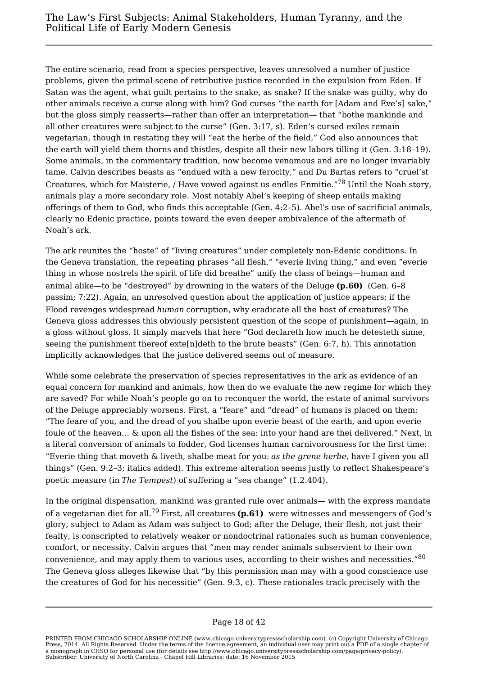The entire scenario, read from a species perspective, leaves unresolved a number of justice problems, given the primal scene of retributive justice recorded in the expulsion from Eden. If Satan was the agent, what guilt pertains to the snake, as snake? If the snake was guilty, why do other animals receive a curse along with him? God curses "the earth for [Adam and Eve's] sake," but the gloss simply reasserts—rather than offer an interpretation— that "bothe mankinde and all other creatures were subject to the curse" (Gen. 3:17, s). Eden's cursed exiles remain vegetarian, though in restating they will "eat the herbe of the field," God also announces that the earth will yield them thorns and thistles, despite all their new labors tilling it (Gen. 3:18–19). Some animals, in the commentary tradition, now become venomous and are no longer invariably tame. Calvin describes beasts as "endued with a new ferocity," and Du Bartas refers to "cruel'st Creatures, which for Maisterie, / Have vowed against us endles Enmitie."<sup>78</sup> Until the Noah story, animals play a more secondary role. Most notably Abel's keeping of sheep entails making offerings of them to God, who finds this acceptable (Gen. 4:2–5). Abel's use of sacrificial animals, clearly no Edenic practice, points toward the even deeper ambivalence of the aftermath of Noah's ark.

The ark reunites the "hoste" of "living creatures" under completely non-Edenic conditions. In the Geneva translation, the repeating phrases "all flesh," "everie living thing," and even "everie thing in whose nostrels the spirit of life did breathe" unify the class of beings—human and animal alike—to be "destroyed" by drowning in the waters of the Deluge **(p.60)** (Gen. 6–8 passim; 7:22). Again, an unresolved question about the application of justice appears: if the Flood revenges widespread *human* corruption, why eradicate all the host of creatures? The Geneva gloss addresses this obviously persistent question of the scope of punishment—again, in a gloss without gloss. It simply marvels that here "God declareth how much he detesteth sinne, seeing the punishment thereof  $ext{exte[n]}$ deth to the brute beasts" (Gen. 6:7, h). This annotation implicitly acknowledges that the justice delivered seems out of measure.

While some celebrate the preservation of species representatives in the ark as evidence of an equal concern for mankind and animals, how then do we evaluate the new regime for which they are saved? For while Noah's people go on to reconquer the world, the estate of animal survivors of the Deluge appreciably worsens. First, a "feare" and "dread" of humans is placed on them: "The feare of you, and the dread of you shalbe upon everie beast of the earth, and upon everie foule of the heaven… & upon all the fishes of the sea: into your hand are thei delivered." Next, in a literal conversion of animals to fodder, God licenses human carnivorousness for the first time: "Everie thing that moveth & liveth, shalbe meat for you: *as the grene herbe*, have I given you all things" (Gen. 9:2–3; italics added). This extreme alteration seems justly to reflect Shakespeare's poetic measure (in *The Tempest*) of suffering a "sea change" (1.2.404).

In the original dispensation, mankind was granted rule over animals— with the express mandate of a vegetarian diet for all.<sup>79</sup> First, all creatures **(p.61)** were witnesses and messengers of God's glory, subject to Adam as Adam was subject to God; after the Deluge, their flesh, not just their fealty, is conscripted to relatively weaker or nondoctrinal rationales such as human convenience, comfort, or necessity. Calvin argues that "men may render animals subservient to their own convenience, and may apply them to various uses, according to their wishes and necessities."<sup>80</sup> The Geneva gloss alleges likewise that "by this permission man may with a good conscience use the creatures of God for his necessitie" (Gen. 9:3, c). These rationales track precisely with the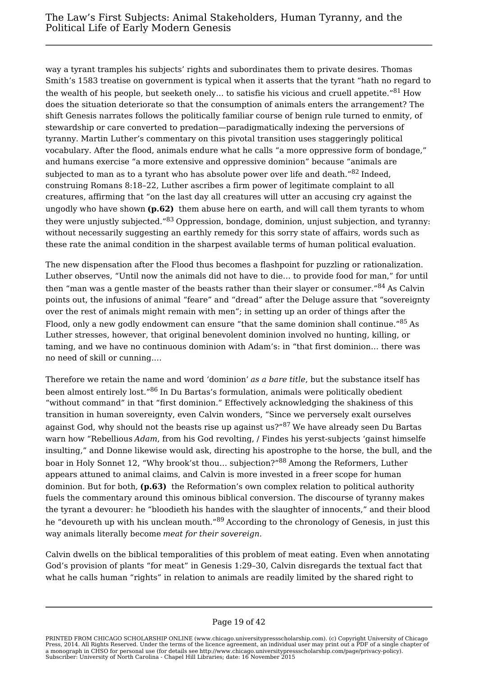way a tyrant tramples his subjects' rights and subordinates them to private desires. Thomas Smith's 1583 treatise on government is typical when it asserts that the tyrant "hath no regard to the wealth of his people, but seeketh onely... to satisfie his vicious and cruell appetite." $81$  How does the situation deteriorate so that the consumption of animals enters the arrangement? The shift Genesis narrates follows the politically familiar course of benign rule turned to enmity, of stewardship or care converted to predation—paradigmatically indexing the perversions of tyranny. Martin Luther's commentary on this pivotal transition uses staggeringly political vocabulary. After the flood, animals endure what he calls "a more oppressive form of bondage," and humans exercise "a more extensive and oppressive dominion" because "animals are subjected to man as to a tyrant who has absolute power over life and death."<sup>82</sup> Indeed. construing Romans 8:18–22, Luther ascribes a firm power of legitimate complaint to all creatures, affirming that "on the last day all creatures will utter an accusing cry against the ungodly who have shown **(p.62)** them abuse here on earth, and will call them tyrants to whom they were unjustly subjected."<sup>83</sup> Oppression, bondage, dominion, unjust subjection, and tyranny: without necessarily suggesting an earthly remedy for this sorry state of affairs, words such as these rate the animal condition in the sharpest available terms of human political evaluation.

The new dispensation after the Flood thus becomes a flashpoint for puzzling or rationalization. Luther observes, "Until now the animals did not have to die… to provide food for man," for until then "man was a gentle master of the beasts rather than their slayer or consumer."<sup>84</sup> As Calvin points out, the infusions of animal "feare" and "dread" after the Deluge assure that "sovereignty over the rest of animals might remain with men"; in setting up an order of things after the Flood, only a new godly endowment can ensure "that the same dominion shall continue."<sup>85</sup> As Luther stresses, however, that original benevolent dominion involved no hunting, killing, or taming, and we have no continuous dominion with Adam's: in "that first dominion… there was no need of skill or cunning.…

Therefore we retain the name and word 'dominion' *as a bare title*, but the substance itself has been almost entirely lost."<sup>86</sup> In Du Bartas's formulation, animals were politically obedient "without command" in that "first dominion." Effectively acknowledging the shakiness of this transition in human sovereignty, even Calvin wonders, "Since we perversely exalt ourselves against God, why should not the beasts rise up against us?"<sup>87</sup> We have already seen Du Bartas warn how "Rebellious *Adam*, from his God revolting, / Findes his yerst-subjects 'gainst himselfe insulting," and Donne likewise would ask, directing his apostrophe to the horse, the bull, and the boar in Holy Sonnet 12, "Why brook'st thou… subjection?"<sup>88</sup> Among the Reformers, Luther appears attuned to animal claims, and Calvin is more invested in a freer scope for human dominion. But for both, **(p.63)** the Reformation's own complex relation to political authority fuels the commentary around this ominous biblical conversion. The discourse of tyranny makes the tyrant a devourer: he "bloodieth his handes with the slaughter of innocents," and their blood he "devoureth up with his unclean mouth."<sup>89</sup> According to the chronology of Genesis, in just this way animals literally become *meat for their sovereign*.

Calvin dwells on the biblical temporalities of this problem of meat eating. Even when annotating God's provision of plants "for meat" in Genesis 1:29–30, Calvin disregards the textual fact that what he calls human "rights" in relation to animals are readily limited by the shared right to

PRINTED FROM CHICAGO SCHOLARSHIP ONLINE (www.chicago.universitypressscholarship.com). (c) Copyright University of Chicago<br>Press, 2014. All Rights Reserved. Under the terms of the licence agreement, an individual user may p a monograph in CHSO for personal use (for details see http://www.chicago.universitypressscholarship.com/page/privacy-policy). Subscriber: University of North Carolina - Chapel Hill Libraries; date: 16 November 2015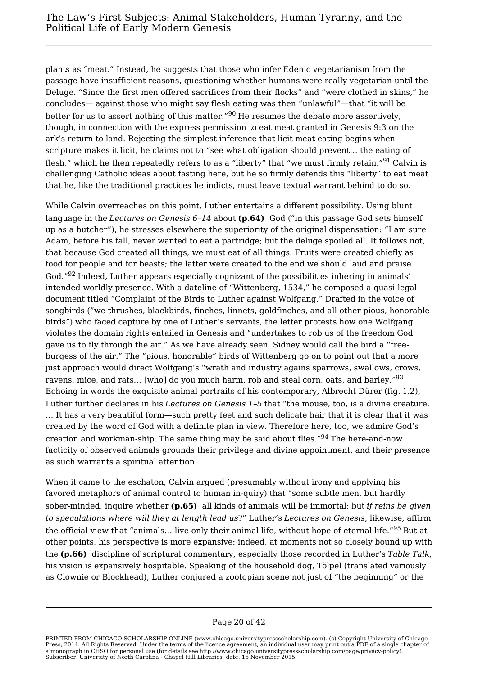plants as "meat." Instead, he suggests that those who infer Edenic vegetarianism from the passage have insufficient reasons, questioning whether humans were really vegetarian until the Deluge. "Since the first men offered sacrifices from their flocks" and "were clothed in skins," he concludes— against those who might say flesh eating was then "unlawful"—that "it will be better for us to assert nothing of this matter."<sup>90</sup> He resumes the debate more assertively, though, in connection with the express permission to eat meat granted in Genesis 9:3 on the ark's return to land. Rejecting the simplest inference that licit meat eating begins when scripture makes it licit, he claims not to "see what obligation should prevent… the eating of flesh," which he then repeatedly refers to as a "liberty" that "we must firmly retain."<sup>91</sup> Calvin is challenging Catholic ideas about fasting here, but he so firmly defends this "liberty" to eat meat that he, like the traditional practices he indicts, must leave textual warrant behind to do so.

While Calvin overreaches on this point, Luther entertains a different possibility. Using blunt language in the *Lectures on Genesis 6–14* about **(p.64)** God ("in this passage God sets himself up as a butcher"), he stresses elsewhere the superiority of the original dispensation: "I am sure Adam, before his fall, never wanted to eat a partridge; but the deluge spoiled all. It follows not, that because God created all things, we must eat of all things. Fruits were created chiefly as food for people and for beasts; the latter were created to the end we should laud and praise God."<sup>92</sup> Indeed, Luther appears especially cognizant of the possibilities inhering in animals' intended worldly presence. With a dateline of "Wittenberg, 1534," he composed a quasi-legal document titled "Complaint of the Birds to Luther against Wolfgang." Drafted in the voice of songbirds ("we thrushes, blackbirds, finches, linnets, goldfinches, and all other pious, honorable birds") who faced capture by one of Luther's servants, the letter protests how one Wolfgang violates the domain rights entailed in Genesis and "undertakes to rob us of the freedom God gave us to fly through the air." As we have already seen, Sidney would call the bird a "freeburgess of the air." The "pious, honorable" birds of Wittenberg go on to point out that a more just approach would direct Wolfgang's "wrath and industry agains sparrows, swallows, crows, ravens, mice, and rats... [who] do you much harm, rob and steal corn, oats, and barley."<sup>93</sup> Echoing in words the exquisite animal portraits of his contemporary, Albrecht Dürer (fig. 1.2), Luther further declares in his *Lectures on Genesis 1–5* that "the mouse, too, is a divine creature. … It has a very beautiful form—such pretty feet and such delicate hair that it is clear that it was created by the word of God with a definite plan in view. Therefore here, too, we admire God's creation and workman-ship. The same thing may be said about flies."<sup>94</sup> The here-and-now facticity of observed animals grounds their privilege and divine appointment, and their presence as such warrants a spiritual attention.

When it came to the eschaton, Calvin argued (presumably without irony and applying his favored metaphors of animal control to human in-quiry) that "some subtle men, but hardly sober-minded, inquire whether **(p.65)** all kinds of animals will be immortal; but *if reins be given to speculations where will they at length lead us*?" Luther's *Lectures on Genesis*, likewise, affirm the official view that "animals... live only their animal life, without hope of eternal life."<sup>95</sup> But at other points, his perspective is more expansive: indeed, at moments not so closely bound up with the **(p.66)** discipline of scriptural commentary, especially those recorded in Luther's *Table Talk*, his vision is expansively hospitable. Speaking of the household dog, Tölpel (translated variously as Clownie or Blockhead), Luther conjured a zootopian scene not just of "the beginning" or the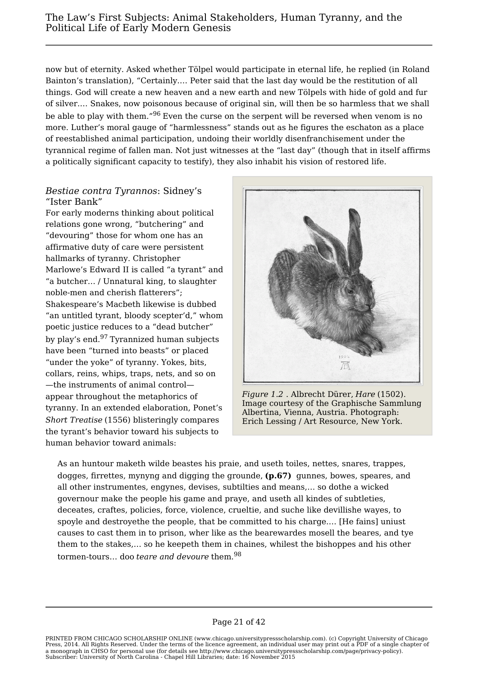now but of eternity. Asked whether Tölpel would participate in eternal life, he replied (in Roland Bainton's translation), "Certainly.… Peter said that the last day would be the restitution of all things. God will create a new heaven and a new earth and new Tölpels with hide of gold and fur of silver.… Snakes, now poisonous because of original sin, will then be so harmless that we shall be able to play with them."<sup>96</sup> Even the curse on the serpent will be reversed when venom is no more. Luther's moral gauge of "harmlessness" stands out as he figures the eschaton as a place of reestablished animal participation, undoing their worldly disenfranchisement under the tyrannical regime of fallen man. Not just witnesses at the "last day" (though that in itself affirms a politically significant capacity to testify), they also inhabit his vision of restored life.

## *Bestiae contra Tyrannos*: Sidney's "Ister Bank"

For early moderns thinking about political relations gone wrong, "butchering" and "devouring" those for whom one has an affirmative duty of care were persistent hallmarks of tyranny. Christopher Marlowe's Edward II is called "a tyrant" and "a butcher… / Unnatural king, to slaughter noble-men and cherish flatterers"; Shakespeare's Macbeth likewise is dubbed "an untitled tyrant, bloody scepter'd," whom poetic justice reduces to a "dead butcher" by play's end.<sup>97</sup> Tyrannized human subjects have been "turned into beasts" or placed "under the yoke" of tyranny. Yokes, bits, collars, reins, whips, traps, nets, and so on —the instruments of animal control appear throughout the metaphorics of tyranny. In an extended elaboration, Ponet's *Short Treatise* (1556) blisteringly compares the tyrant's behavior toward his subjects to human behavior toward animals:



*Figure 1.2* . Albrecht Dürer, *Hare* (1502). Image courtesy of the Graphische Sammlung Albertina, Vienna, Austria. Photograph: Erich Lessing / Art Resource, New York.

As an huntour maketh wilde beastes his praie, and useth toiles, nettes, snares, trappes, dogges, firrettes, mynyng and digging the grounde, **(p.67)** gunnes, bowes, speares, and all other instrumentes, engynes, devises, subtilties and means,… so dothe a wicked governour make the people his game and praye, and useth all kindes of subtleties, deceates, craftes, policies, force, violence, crueltie, and suche like devillishe wayes, to spoyle and destroyethe the people, that be committed to his charge.… [He fains] uniust causes to cast them in to prison, wher like as the bearewardes mosell the beares, and tye them to the stakes,… so he keepeth them in chaines, whilest the bishoppes and his other tormen-tours… doo *teare and devoure* them.<sup>98</sup>

#### Page 21 of 42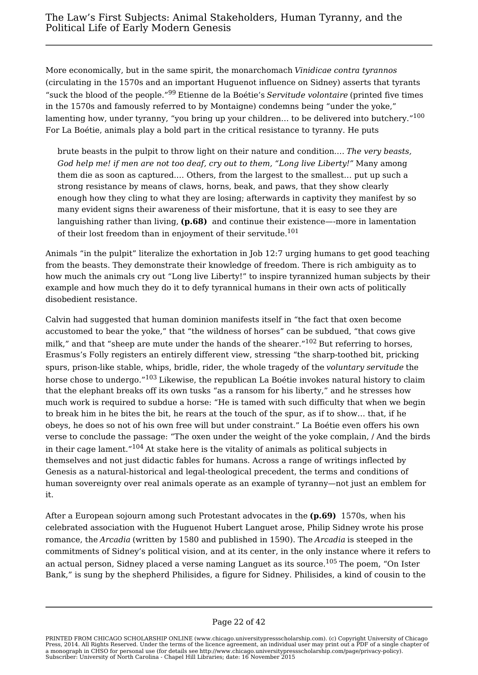More economically, but in the same spirit, the monarchomach *Vinidicae contra tyrannos* (circulating in the 1570s and an important Huguenot influence on Sidney) asserts that tyrants "suck the blood of the people."<sup>99</sup> Etienne de la Boétie's *Servitude volontaire* (printed five times in the 1570s and famously referred to by Montaigne) condemns being "under the yoke," lamenting how, under tyranny, "you bring up your children... to be delivered into butchery."<sup>100</sup> For La Boétie, animals play a bold part in the critical resistance to tyranny. He puts

brute beasts in the pulpit to throw light on their nature and condition.… *The very beasts, God help me! if men are not too deaf, cry out to them, "Long live Liberty!"* Many among them die as soon as captured.… Others, from the largest to the smallest… put up such a strong resistance by means of claws, horns, beak, and paws, that they show clearly enough how they cling to what they are losing; afterwards in captivity they manifest by so many evident signs their awareness of their misfortune, that it is easy to see they are languishing rather than living, **(p.68)** and continue their existence—-more in lamentation of their lost freedom than in enjoyment of their servitude.<sup>101</sup>

Animals "in the pulpit" literalize the exhortation in Job 12:7 urging humans to get good teaching from the beasts. They demonstrate their knowledge of freedom. There is rich ambiguity as to how much the animals cry out "Long live Liberty!" to inspire tyrannized human subjects by their example and how much they do it to defy tyrannical humans in their own acts of politically disobedient resistance.

Calvin had suggested that human dominion manifests itself in "the fact that oxen become accustomed to bear the yoke," that "the wildness of horses" can be subdued, "that cows give milk," and that "sheep are mute under the hands of the shearer." $102$  But referring to horses, Erasmus's Folly registers an entirely different view, stressing "the sharp-toothed bit, pricking spurs, prison-like stable, whips, bridle, rider, the whole tragedy of the *voluntary servitude* the horse chose to undergo."<sup>103</sup> Likewise, the republican La Boétie invokes natural history to claim that the elephant breaks off its own tusks "as a ransom for his liberty," and he stresses how much work is required to subdue a horse: "He is tamed with such difficulty that when we begin to break him in he bites the bit, he rears at the touch of the spur, as if to show… that, if he obeys, he does so not of his own free will but under constraint." La Boétie even offers his own verse to conclude the passage: "The oxen under the weight of the yoke complain, / And the birds in their cage lament." $104$  At stake here is the vitality of animals as political subjects in themselves and not just didactic fables for humans. Across a range of writings inflected by Genesis as a natural-historical and legal-theological precedent, the terms and conditions of human sovereignty over real animals operate as an example of tyranny—not just an emblem for it.

After a European sojourn among such Protestant advocates in the **(p.69)** 1570s, when his celebrated association with the Huguenot Hubert Languet arose, Philip Sidney wrote his prose romance, the *Arcadia* (written by 1580 and published in 1590). The *Arcadia* is steeped in the commitments of Sidney's political vision, and at its center, in the only instance where it refers to an actual person, Sidney placed a verse naming Languet as its source.<sup>105</sup> The poem, "On Ister Bank," is sung by the shepherd Philisides, a figure for Sidney. Philisides, a kind of cousin to the

PRINTED FROM CHICAGO SCHOLARSHIP ONLINE (www.chicago.universitypressscholarship.com). (c) Copyright University of Chicago Press, 2014. All Rights Reserved. Under the terms of the licence agreement, an individual user may print out a PDF of a single chapter of a monograph in CHSO for personal use (for details see http://www.chicago.universitypressscholarship.com/page/privacy-policy). Subscriber: University of North Carolina - Chapel Hill Libraries; date: 16 November 2015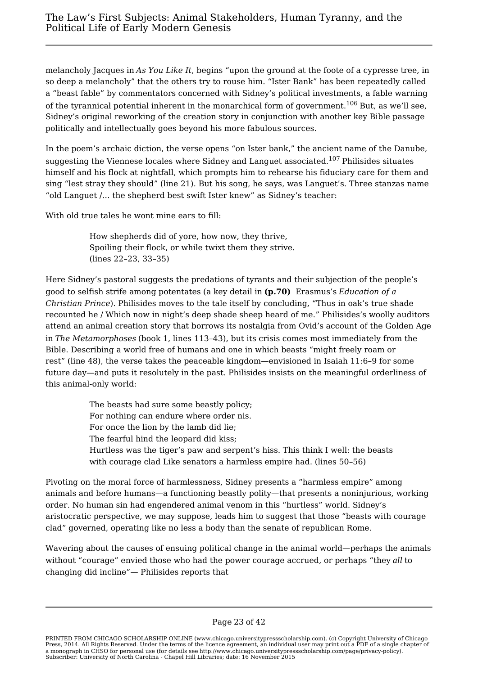melancholy Jacques in *As You Like It*, begins "upon the ground at the foote of a cypresse tree, in so deep a melancholy" that the others try to rouse him. "Ister Bank" has been repeatedly called a "beast fable" by commentators concerned with Sidney's political investments, a fable warning of the tyrannical potential inherent in the monarchical form of government.<sup>106</sup> But, as we'll see, Sidney's original reworking of the creation story in conjunction with another key Bible passage politically and intellectually goes beyond his more fabulous sources.

In the poem's archaic diction, the verse opens "on Ister bank," the ancient name of the Danube, suggesting the Viennese locales where Sidney and Languet associated.<sup>107</sup> Philisides situates himself and his flock at nightfall, which prompts him to rehearse his fiduciary care for them and sing "lest stray they should" (line 21). But his song, he says, was Languet's. Three stanzas name "old Languet /… the shepherd best swift Ister knew" as Sidney's teacher:

With old true tales he wont mine ears to fill:

How shepherds did of yore, how now, they thrive, Spoiling their flock, or while twixt them they strive. (lines 22–23, 33–35)

Here Sidney's pastoral suggests the predations of tyrants and their subjection of the people's good to selfish strife among potentates (a key detail in **(p.70)** Erasmus's *Education of a Christian Prince*). Philisides moves to the tale itself by concluding, "Thus in oak's true shade recounted he / Which now in night's deep shade sheep heard of me." Philisides's woolly auditors attend an animal creation story that borrows its nostalgia from Ovid's account of the Golden Age in *The Metamorphoses* (book 1, lines 113–43), but its crisis comes most immediately from the Bible. Describing a world free of humans and one in which beasts "might freely roam or rest" (line 48), the verse takes the peaceable kingdom—envisioned in Isaiah 11:6–9 for some future day—and puts it resolutely in the past. Philisides insists on the meaningful orderliness of this animal-only world:

> The beasts had sure some beastly policy; For nothing can endure where order nis. For once the lion by the lamb did lie; The fearful hind the leopard did kiss; Hurtless was the tiger's paw and serpent's hiss. This think I well: the beasts with courage clad Like senators a harmless empire had. (lines 50–56)

Pivoting on the moral force of harmlessness, Sidney presents a "harmless empire" among animals and before humans—a functioning beastly polity—that presents a noninjurious, working order. No human sin had engendered animal venom in this "hurtless" world. Sidney's aristocratic perspective, we may suppose, leads him to suggest that those "beasts with courage clad" governed, operating like no less a body than the senate of republican Rome.

Wavering about the causes of ensuing political change in the animal world—perhaps the animals without "courage" envied those who had the power courage accrued, or perhaps "they *all* to changing did incline"— Philisides reports that

PRINTED FROM CHICAGO SCHOLARSHIP ONLINE (www.chicago.universitypressscholarship.com). (c) Copyright University of Chicago Press, 2014. All Rights Reserved. Under the terms of the licence agreement, an individual user may print out a PDF of a single chapter of a monograph in CHSO for personal use (for details see http://www.chicago.universitypressscholarship.com/page/privacy-policy). Subscriber: University of North Carolina - Chapel Hill Libraries; date: 16 November 2015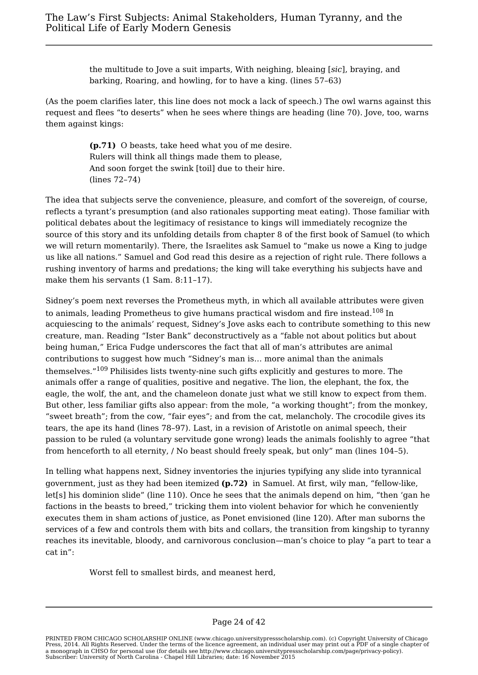the multitude to Jove a suit imparts, With neighing, bleaing [*sic*], braying, and barking, Roaring, and howling, for to have a king. (lines 57–63)

(As the poem clarifies later, this line does not mock a lack of speech.) The owl warns against this request and flees "to deserts" when he sees where things are heading (line 70). Jove, too, warns them against kings:

> **(p.71)** O beasts, take heed what you of me desire. Rulers will think all things made them to please, And soon forget the swink [toil] due to their hire. (lines 72–74)

The idea that subjects serve the convenience, pleasure, and comfort of the sovereign, of course, reflects a tyrant's presumption (and also rationales supporting meat eating). Those familiar with political debates about the legitimacy of resistance to kings will immediately recognize the source of this story and its unfolding details from chapter 8 of the first book of Samuel (to which we will return momentarily). There, the Israelites ask Samuel to "make us nowe a King to judge us like all nations." Samuel and God read this desire as a rejection of right rule. There follows a rushing inventory of harms and predations; the king will take everything his subjects have and make them his servants (1 Sam. 8:11-17).

Sidney's poem next reverses the Prometheus myth, in which all available attributes were given to animals, leading Prometheus to give humans practical wisdom and fire instead.<sup>108</sup> In acquiescing to the animals' request, Sidney's Jove asks each to contribute something to this new creature, man. Reading "Ister Bank" deconstructively as a "fable not about politics but about being human," Erica Fudge underscores the fact that all of man's attributes are animal contributions to suggest how much "Sidney's man is… more animal than the animals themselves."<sup>109</sup> Philisides lists twenty-nine such gifts explicitly and gestures to more. The animals offer a range of qualities, positive and negative. The lion, the elephant, the fox, the eagle, the wolf, the ant, and the chameleon donate just what we still know to expect from them. But other, less familiar gifts also appear: from the mole, "a working thought"; from the monkey, "sweet breath"; from the cow, "fair eyes"; and from the cat, melancholy. The crocodile gives its tears, the ape its hand (lines 78–97). Last, in a revision of Aristotle on animal speech, their passion to be ruled (a voluntary servitude gone wrong) leads the animals foolishly to agree "that from henceforth to all eternity, / No beast should freely speak, but only" man (lines 104–5).

In telling what happens next, Sidney inventories the injuries typifying any slide into tyrannical government, just as they had been itemized **(p.72)** in Samuel. At first, wily man, "fellow-like, let[s] his dominion slide" (line 110). Once he sees that the animals depend on him, "then 'gan he factions in the beasts to breed," tricking them into violent behavior for which he conveniently executes them in sham actions of justice, as Ponet envisioned (line 120). After man suborns the services of a few and controls them with bits and collars, the transition from kingship to tyranny reaches its inevitable, bloody, and carnivorous conclusion—man's choice to play "a part to tear a cat in":

Worst fell to smallest birds, and meanest herd,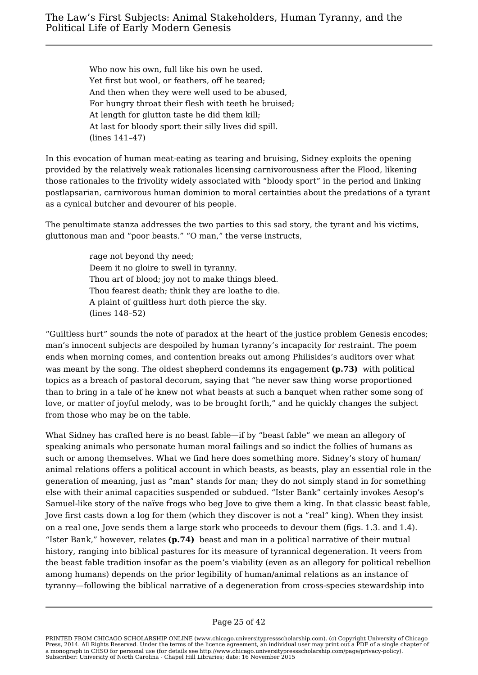Who now his own, full like his own he used. Yet first but wool, or feathers, off he teared; And then when they were well used to be abused, For hungry throat their flesh with teeth he bruised; At length for glutton taste he did them kill; At last for bloody sport their silly lives did spill. (lines 141–47)

In this evocation of human meat-eating as tearing and bruising, Sidney exploits the opening provided by the relatively weak rationales licensing carnivorousness after the Flood, likening those rationales to the frivolity widely associated with "bloody sport" in the period and linking postlapsarian, carnivorous human dominion to moral certainties about the predations of a tyrant as a cynical butcher and devourer of his people.

The penultimate stanza addresses the two parties to this sad story, the tyrant and his victims, gluttonous man and "poor beasts." "O man," the verse instructs,

> rage not beyond thy need; Deem it no gloire to swell in tyranny. Thou art of blood; joy not to make things bleed. Thou fearest death; think they are loathe to die. A plaint of guiltless hurt doth pierce the sky. (lines 148–52)

"Guiltless hurt" sounds the note of paradox at the heart of the justice problem Genesis encodes; man's innocent subjects are despoiled by human tyranny's incapacity for restraint. The poem ends when morning comes, and contention breaks out among Philisides's auditors over what was meant by the song. The oldest shepherd condemns its engagement **(p.73)** with political topics as a breach of pastoral decorum, saying that "he never saw thing worse proportioned than to bring in a tale of he knew not what beasts at such a banquet when rather some song of love, or matter of joyful melody, was to be brought forth," and he quickly changes the subject from those who may be on the table.

What Sidney has crafted here is no beast fable—if by "beast fable" we mean an allegory of speaking animals who personate human moral failings and so indict the follies of humans as such or among themselves. What we find here does something more. Sidney's story of human/ animal relations offers a political account in which beasts, as beasts, play an essential role in the generation of meaning, just as "man" stands for man; they do not simply stand in for something else with their animal capacities suspended or subdued. "Ister Bank" certainly invokes Aesop's Samuel-like story of the naïve frogs who beg Jove to give them a king. In that classic beast fable, Jove first casts down a log for them (which they discover is not a "real" king). When they insist on a real one, Jove sends them a large stork who proceeds to devour them (figs. 1.3. and 1.4). "Ister Bank," however, relates **(p.74)** beast and man in a political narrative of their mutual history, ranging into biblical pastures for its measure of tyrannical degeneration. It veers from the beast fable tradition insofar as the poem's viability (even as an allegory for political rebellion among humans) depends on the prior legibility of human/animal relations as an instance of tyranny—following the biblical narrative of a degeneration from cross-species stewardship into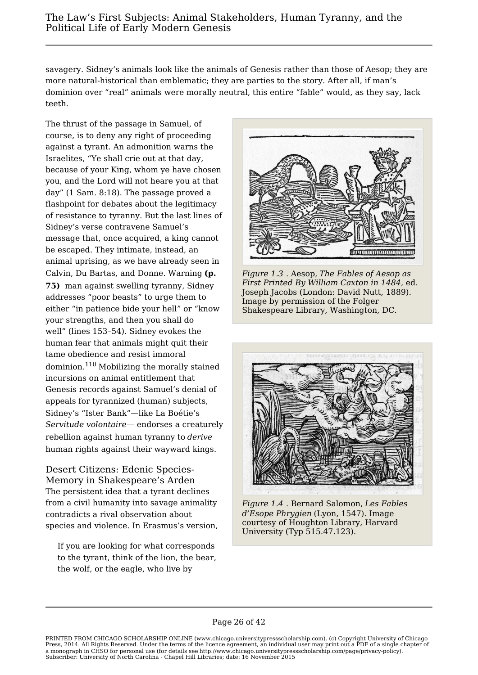savagery. Sidney's animals look like the animals of Genesis rather than those of Aesop; they are more natural-historical than emblematic; they are parties to the story. After all, if man's dominion over "real" animals were morally neutral, this entire "fable" would, as they say, lack teeth.

The thrust of the passage in Samuel, of course, is to deny any right of proceeding against a tyrant. An admonition warns the Israelites, "Ye shall crie out at that day, because of your King, whom ye have chosen you, and the Lord will not heare you at that day" (1 Sam. 8:18). The passage proved a flashpoint for debates about the legitimacy of resistance to tyranny. But the last lines of Sidney's verse contravene Samuel's message that, once acquired, a king cannot be escaped. They intimate, instead, an animal uprising, as we have already seen in Calvin, Du Bartas, and Donne. Warning **(p. 75)** man against swelling tyranny, Sidney addresses "poor beasts" to urge them to either "in patience bide your hell" or "know Shakespeare Library, Washington, DC. your strengths, and then you shall do well" (lines 153–54). Sidney evokes the human fear that animals might quit their tame obedience and resist immoral dominion.<sup>110</sup> Mobilizing the morally stained incursions on animal entitlement that Genesis records against Samuel's denial of appeals for tyrannized (human) subjects, Sidney's "Ister Bank"—like La Boétie's *Servitude volontaire*— endorses a creaturely rebellion against human tyranny to *derive* human rights against their wayward kings.

Desert Citizens: Edenic Species-Memory in Shakespeare's Arden The persistent idea that a tyrant declines from a civil humanity into savage animality contradicts a rival observation about species and violence. In Erasmus's version,

If you are looking for what corresponds to the tyrant, think of the lion, the bear, the wolf, or the eagle, who live by



*Figure 1.3* . Aesop, *The Fables of Aesop as First Printed By William Caxton in 1484*, ed. Joseph Jacobs (London: David Nutt, 1889). Image by permission of the Folger



*Figure 1.4* . Bernard Salomon, *Les Fables d'Esope Phrygien* (Lyon, 1547). Image courtesy of Houghton Library, Harvard University (Typ 515.47.123).

PRINTED FROM CHICAGO SCHOLARSHIP ONLINE (www.chicago.universitypressscholarship.com). (c) Copyright University of Chicago Press, 2014. All Rights Reserved. Under the terms of the licence agreement, an individual user may print out a PDF of a single chapter of a monograph in CHSO for personal use (for details see http://www.chicago.universitypressscholarship.com/page/privacy-policy). Subscriber: University of North Carolina - Chapel Hill Libraries; date: 16 November 2015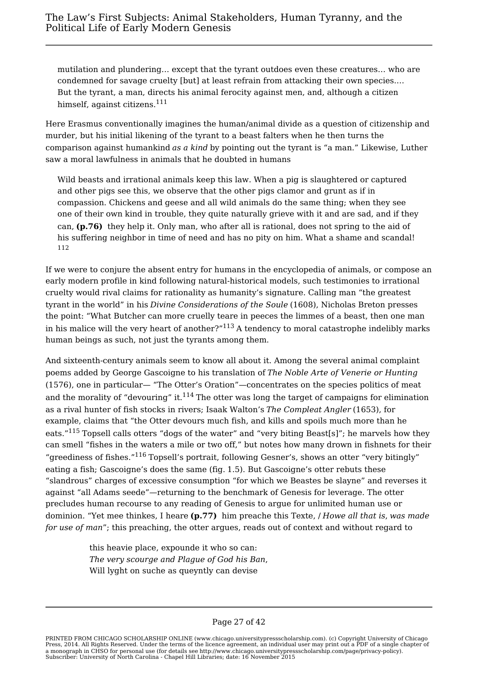mutilation and plundering… except that the tyrant outdoes even these creatures… who are condemned for savage cruelty [but] at least refrain from attacking their own species.… But the tyrant, a man, directs his animal ferocity against men, and, although a citizen himself, against citizens.<sup>111</sup>

Here Erasmus conventionally imagines the human/animal divide as a question of citizenship and murder, but his initial likening of the tyrant to a beast falters when he then turns the comparison against humankind *as a kind* by pointing out the tyrant is "a man." Likewise, Luther saw a moral lawfulness in animals that he doubted in humans

Wild beasts and irrational animals keep this law. When a pig is slaughtered or captured and other pigs see this, we observe that the other pigs clamor and grunt as if in compassion. Chickens and geese and all wild animals do the same thing; when they see one of their own kind in trouble, they quite naturally grieve with it and are sad, and if they can, **(p.76)** they help it. Only man, who after all is rational, does not spring to the aid of his suffering neighbor in time of need and has no pity on him. What a shame and scandal! 112

If we were to conjure the absent entry for humans in the encyclopedia of animals, or compose an early modern profile in kind following natural-historical models, such testimonies to irrational cruelty would rival claims for rationality as humanity's signature. Calling man "the greatest tyrant in the world" in his *Divine Considerations of the Soule* (1608), Nicholas Breton presses the point: "What Butcher can more cruelly teare in peeces the limmes of a beast, then one man in his malice will the very heart of another?" $113$  A tendency to moral catastrophe indelibly marks human beings as such, not just the tyrants among them.

And sixteenth-century animals seem to know all about it. Among the several animal complaint poems added by George Gascoigne to his translation of *The Noble Arte of Venerie or Hunting* (1576), one in particular— "The Otter's Oration"—concentrates on the species politics of meat and the morality of "devouring" it. $^{114}$  The otter was long the target of campaigns for elimination as a rival hunter of fish stocks in rivers; Isaak Walton's *The Compleat Angler* (1653), for example, claims that "the Otter devours much fish, and kills and spoils much more than he eats."<sup>115</sup> Topsell calls otters "dogs of the water" and "very biting Beast[s]"; he marvels how they can smell "fishes in the waters a mile or two off," but notes how many drown in fishnets for their "greediness of fishes."<sup>116</sup> Topsell's portrait, following Gesner's, shows an otter "very bitingly" eating a fish; Gascoigne's does the same (fig. 1.5). But Gascoigne's otter rebuts these "slandrous" charges of excessive consumption "for which we Beastes be slayne" and reverses it against "all Adams seede"—returning to the benchmark of Genesis for leverage. The otter precludes human recourse to any reading of Genesis to argue for unlimited human use or dominion. "Yet mee thinkes, I heare **(p.77)** him preache this Texte, / *Howe all that is*, *was made for use of man*"; this preaching, the otter argues, reads out of context and without regard to

> this heavie place, expounde it who so can: *The very scourge and Plague of God his Ban*, Will lyght on suche as queyntly can devise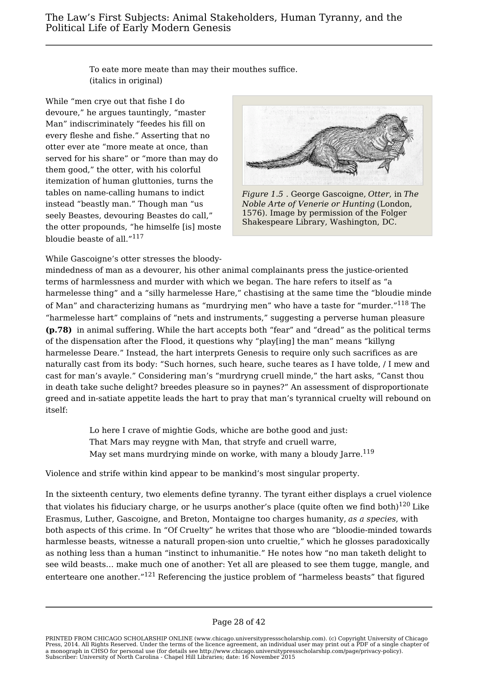To eate more meate than may their mouthes suffice. (italics in original)

While "men crye out that fishe I do devoure," he argues tauntingly, "master Man" indiscriminately "feedes his fill on every fleshe and fishe." Asserting that no otter ever ate "more meate at once, than served for his share" or "more than may do them good," the otter, with his colorful itemization of human gluttonies, turns the tables on name-calling humans to indict instead "beastly man." Though man "us seely Beastes, devouring Beastes do call," the otter propounds, "he himselfe [is] moste bloudie beaste of all."<sup>117</sup>



*Figure 1.5* . George Gascoigne, *Otter*, in *The Noble Arte of Venerie or Hunting* (London, 1576). Image by permission of the Folger Shakespeare Library, Washington, DC.

While Gascoigne's otter stresses the bloody-

mindedness of man as a devourer, his other animal complainants press the justice-oriented terms of harmlessness and murder with which we began. The hare refers to itself as "a harmelesse thing" and a "silly harmelesse Hare," chastising at the same time the "bloudie minde of Man" and characterizing humans as "murdrying men" who have a taste for "murder."<sup>118</sup> The "harmelesse hart" complains of "nets and instruments," suggesting a perverse human pleasure **(p.78)** in animal suffering. While the hart accepts both "fear" and "dread" as the political terms of the dispensation after the Flood, it questions why "play[ing] the man" means "killyng harmelesse Deare." Instead, the hart interprets Genesis to require only such sacrifices as are naturally cast from its body: "Such hornes, such heare, suche teares as I have tolde, / I mew and cast for man's avayle." Considering man's "murdryng cruell minde," the hart asks, "Canst thou in death take suche delight? breedes pleasure so in paynes?" An assessment of disproportionate greed and in-satiate appetite leads the hart to pray that man's tyrannical cruelty will rebound on itself:

> Lo here I crave of mightie Gods, whiche are bothe good and just: That Mars may reygne with Man, that stryfe and cruell warre, May set mans murdrying minde on worke, with many a bloudy Jarre.<sup>119</sup>

Violence and strife within kind appear to be mankind's most singular property.

In the sixteenth century, two elements define tyranny. The tyrant either displays a cruel violence that violates his fiduciary charge, or he usurps another's place (quite often we find both) $120$  Like Erasmus, Luther, Gascoigne, and Breton, Montaigne too charges humanity, *as a species*, with both aspects of this crime. In "Of Cruelty" he writes that those who are "bloodie-minded towards harmlesse beasts, witnesse a naturall propen-sion unto crueltie," which he glosses paradoxically as nothing less than a human "instinct to inhumanitie." He notes how "no man taketh delight to see wild beasts… make much one of another: Yet all are pleased to see them tugge, mangle, and enterteare one another."<sup>121</sup> Referencing the justice problem of "harmeless beasts" that figured

PRINTED FROM CHICAGO SCHOLARSHIP ONLINE (www.chicago.universitypressscholarship.com). (c) Copyright University of Chicago Press, 2014. All Rights Reserved. Under the terms of the licence agreement, an individual user may print out a PDF of a single chapter of a monograph in CHSO for personal use (for details see http://www.chicago.universitypressscholarship.com/page/privacy-policy). Subscriber: University of North Carolina - Chapel Hill Libraries; date: 16 November 2015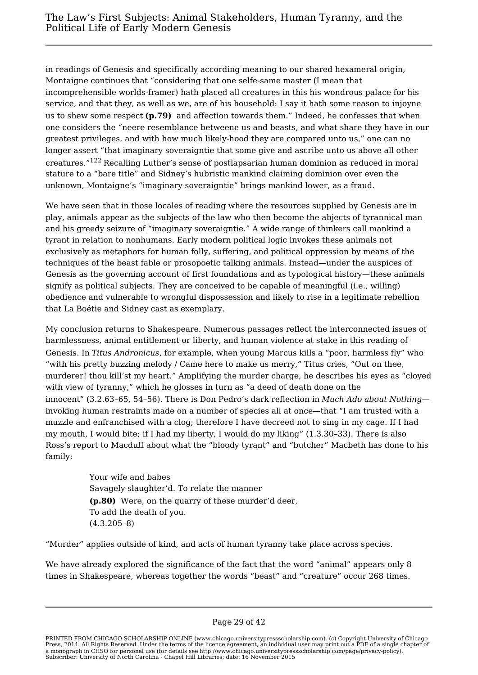in readings of Genesis and specifically according meaning to our shared hexameral origin, Montaigne continues that "considering that one selfe-same master (I mean that incomprehensible worlds-framer) hath placed all creatures in this his wondrous palace for his service, and that they, as well as we, are of his household: I say it hath some reason to injoyne us to shew some respect **(p.79)** and affection towards them." Indeed, he confesses that when one considers the "neere resemblance betweene us and beasts, and what share they have in our greatest privileges, and with how much likely-hood they are compared unto us," one can no longer assert "that imaginary soveraigntie that some give and ascribe unto us above all other creatures."<sup>122</sup> Recalling Luther's sense of postlapsarian human dominion as reduced in moral stature to a "bare title" and Sidney's hubristic mankind claiming dominion over even the unknown, Montaigne's "imaginary soveraigntie" brings mankind lower, as a fraud.

We have seen that in those locales of reading where the resources supplied by Genesis are in play, animals appear as the subjects of the law who then become the abjects of tyrannical man and his greedy seizure of "imaginary soveraigntie." A wide range of thinkers call mankind a tyrant in relation to nonhumans. Early modern political logic invokes these animals not exclusively as metaphors for human folly, suffering, and political oppression by means of the techniques of the beast fable or prosopoetic talking animals. Instead—under the auspices of Genesis as the governing account of first foundations and as typological history—these animals signify as political subjects. They are conceived to be capable of meaningful (i.e., willing) obedience and vulnerable to wrongful dispossession and likely to rise in a legitimate rebellion that La Boétie and Sidney cast as exemplary.

My conclusion returns to Shakespeare. Numerous passages reflect the interconnected issues of harmlessness, animal entitlement or liberty, and human violence at stake in this reading of Genesis. In *Titus Andronicus*, for example, when young Marcus kills a "poor, harmless fly" who "with his pretty buzzing melody / Came here to make us merry," Titus cries, "Out on thee, murderer! thou kill'st my heart." Amplifying the murder charge, he describes his eyes as "cloyed with view of tyranny," which he glosses in turn as "a deed of death done on the innocent" (3.2.63–65, 54–56). There is Don Pedro's dark reflection in *Much Ado about Nothing* invoking human restraints made on a number of species all at once—that "I am trusted with a muzzle and enfranchised with a clog; therefore I have decreed not to sing in my cage. If I had my mouth, I would bite; if I had my liberty, I would do my liking" (1.3.30–33). There is also Ross's report to Macduff about what the "bloody tyrant" and "butcher" Macbeth has done to his family:

> Your wife and babes Savagely slaughter'd. To relate the manner **(p.80)** Were, on the quarry of these murder'd deer, To add the death of you. (4.3.205–8)

"Murder" applies outside of kind, and acts of human tyranny take place across species.

We have already explored the significance of the fact that the word "animal" appears only 8 times in Shakespeare, whereas together the words "beast" and "creature" occur 268 times.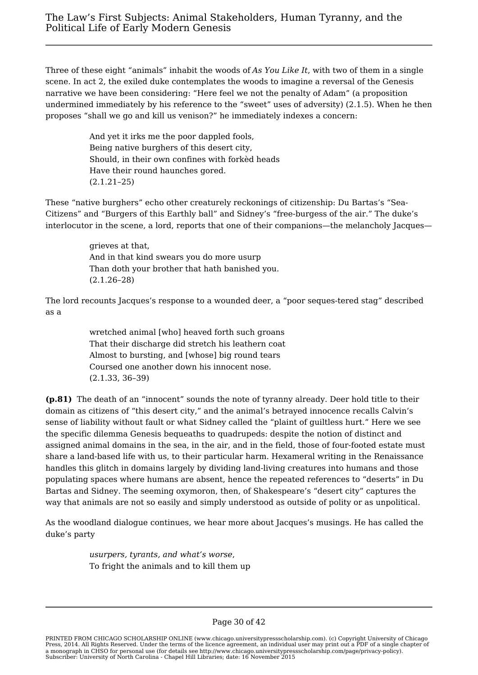Three of these eight "animals" inhabit the woods of *As You Like It*, with two of them in a single scene. In act 2, the exiled duke contemplates the woods to imagine a reversal of the Genesis narrative we have been considering: "Here feel we not the penalty of Adam" (a proposition undermined immediately by his reference to the "sweet" uses of adversity) (2.1.5). When he then proposes "shall we go and kill us venison?" he immediately indexes a concern:

> And yet it irks me the poor dappled fools, Being native burghers of this desert city, Should, in their own confines with forkèd heads Have their round haunches gored. (2.1.21–25)

These "native burghers" echo other creaturely reckonings of citizenship: Du Bartas's "Sea-Citizens" and "Burgers of this Earthly ball" and Sidney's "free-burgess of the air." The duke's interlocutor in the scene, a lord, reports that one of their companions—the melancholy Jacques—

> grieves at that, And in that kind swears you do more usurp Than doth your brother that hath banished you. (2.1.26–28)

The lord recounts Jacques's response to a wounded deer, a "poor seques-tered stag" described as a

> wretched animal [who] heaved forth such groans That their discharge did stretch his leathern coat Almost to bursting, and [whose] big round tears Coursed one another down his innocent nose. (2.1.33, 36–39)

**(p.81)** The death of an "innocent" sounds the note of tyranny already. Deer hold title to their domain as citizens of "this desert city," and the animal's betrayed innocence recalls Calvin's sense of liability without fault or what Sidney called the "plaint of guiltless hurt." Here we see the specific dilemma Genesis bequeaths to quadrupeds: despite the notion of distinct and assigned animal domains in the sea, in the air, and in the field, those of four-footed estate must share a land-based life with us, to their particular harm. Hexameral writing in the Renaissance handles this glitch in domains largely by dividing land-living creatures into humans and those populating spaces where humans are absent, hence the repeated references to "deserts" in Du Bartas and Sidney. The seeming oxymoron, then, of Shakespeare's "desert city" captures the way that animals are not so easily and simply understood as outside of polity or as unpolitical.

As the woodland dialogue continues, we hear more about Jacques's musings. He has called the duke's party

> *usurpers, tyrants, and what's worse*, To fright the animals and to kill them up

PRINTED FROM CHICAGO SCHOLARSHIP ONLINE (www.chicago.universitypressscholarship.com). (c) Copyright University of Chicago Press, 2014. All Rights Reserved. Under the terms of the licence agreement, an individual user may print out a PDF of a single chapter of a monograph in CHSO for personal use (for details see http://www.chicago.universitypressscholarship.com/page/privacy-policy). Subscriber: University of North Carolina - Chapel Hill Libraries; date: 16 November 2015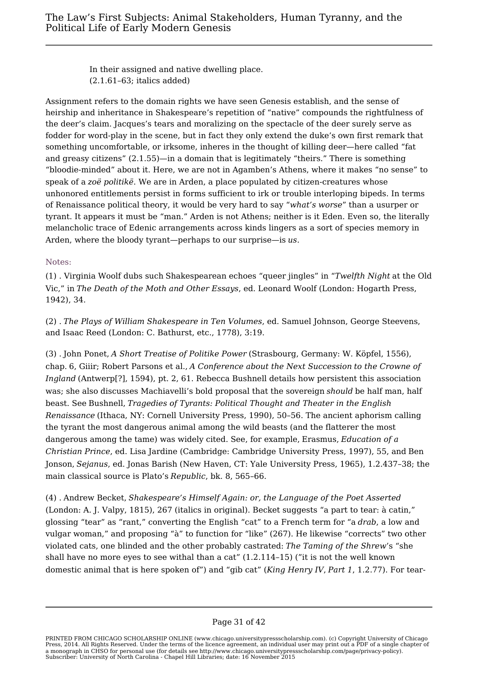In their assigned and native dwelling place. (2.1.61–63; italics added)

Assignment refers to the domain rights we have seen Genesis establish, and the sense of heirship and inheritance in Shakespeare's repetition of "native" compounds the rightfulness of the deer's claim. Jacques's tears and moralizing on the spectacle of the deer surely serve as fodder for word-play in the scene, but in fact they only extend the duke's own first remark that something uncomfortable, or irksome, inheres in the thought of killing deer—here called "fat and greasy citizens" (2.1.55)—in a domain that is legitimately "theirs." There is something "bloodie-minded" about it. Here, we are not in Agamben's Athens, where it makes "no sense" to speak of a *zoë politikë*. We are in Arden, a place populated by citizen-creatures whose unhonored entitlements persist in forms sufficient to irk or trouble interloping bipeds. In terms of Renaissance political theory, it would be very hard to say "*what's worse*" than a usurper or tyrant. It appears it must be "man." Arden is not Athens; neither is it Eden. Even so, the literally melancholic trace of Edenic arrangements across kinds lingers as a sort of species memory in Arden, where the bloody tyrant—perhaps to our surprise—is *us*.

## Notes:

(1) . Virginia Woolf dubs such Shakespearean echoes "queer jingles" in "*Twelfth Night* at the Old Vic," in *The Death of the Moth and Other Essays*, ed. Leonard Woolf (London: Hogarth Press, 1942), 34.

(2) . *The Plays of William Shakespeare in Ten Volumes*, ed. Samuel Johnson, George Steevens, and Isaac Reed (London: C. Bathurst, etc., 1778), 3:19.

(3) . John Ponet, *A Short Treatise of Politike Power* (Strasbourg, Germany: W. Köpfel, 1556), chap. 6, Giiir; Robert Parsons et al., *A Conference about the Next Succession to the Crowne of Ingland* (Antwerp[?], 1594), pt. 2, 61. Rebecca Bushnell details how persistent this association was; she also discusses Machiavelli's bold proposal that the sovereign *should* be half man, half beast. See Bushnell, *Tragedies of Tyrants: Political Thought and Theater in the English Renaissance* (Ithaca, NY: Cornell University Press, 1990), 50–56. The ancient aphorism calling the tyrant the most dangerous animal among the wild beasts (and the flatterer the most dangerous among the tame) was widely cited. See, for example, Erasmus, *Education of a Christian Prince*, ed. Lisa Jardine (Cambridge: Cambridge University Press, 1997), 55, and Ben Jonson, *Sejanus*, ed. Jonas Barish (New Haven, CT: Yale University Press, 1965), 1.2.437–38; the main classical source is Plato's *Republic*, bk. 8, 565–66.

(4) . Andrew Becket, *Shakespeare's Himself Again: or, the Language of the Poet Asserted* (London: A. J. Valpy, 1815), 267 (italics in original). Becket suggests "a part to tear: à catin," glossing "tear" as "rant," converting the English "cat" to a French term for "a *drab*, a low and vulgar woman," and proposing "à" to function for "like" (267). He likewise "corrects" two other violated cats, one blinded and the other probably castrated: *The Taming of the Shrew*'s "she shall have no more eyes to see withal than a cat"  $(1.2.114-15)$  ("it is not the well known domestic animal that is here spoken of") and "gib cat" (*King Henry IV*, *Part 1*, 1.2.77). For tear-

PRINTED FROM CHICAGO SCHOLARSHIP ONLINE (www.chicago.universitypressscholarship.com). (c) Copyright University of Chicago Press, 2014. All Rights Reserved. Under the terms of the licence agreement, an individual user may print out a PDF of a single chapter of a monograph in CHSO for personal use (for details see http://www.chicago.universitypressscholarship.com/page/privacy-policy). Subscriber: University of North Carolina - Chapel Hill Libraries; date: 16 November 2015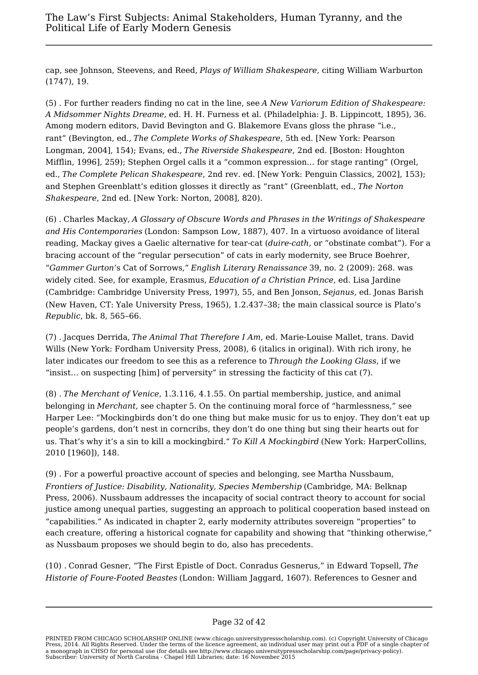cap, see Johnson, Steevens, and Reed, *Plays of William Shakespeare*, citing William Warburton (1747), 19.

(5) . For further readers finding no cat in the line, see *A New Variorum Edition of Shakespeare: A Midsommer Nights Dreame*, ed. H. H. Furness et al. (Philadelphia: J. B. Lippincott, 1895), 36. Among modern editors, David Bevington and G. Blakemore Evans gloss the phrase "i.e., rant" (Bevington, ed., *The Complete Works of Shakespeare*, 5th ed. [New York: Pearson Longman, 2004], 154); Evans, ed., *The Riverside Shakespeare*, 2nd ed. [Boston: Houghton Mifflin, 1996], 259); Stephen Orgel calls it a "common expression… for stage ranting" (Orgel, ed., *The Complete Pelican Shakespeare*, 2nd rev. ed. [New York: Penguin Classics, 2002], 153); and Stephen Greenblatt's edition glosses it directly as "rant" (Greenblatt, ed., *The Norton Shakespeare*, 2nd ed. [New York: Norton, 2008], 820).

(6) . Charles Mackay, *A Glossary of Obscure Words and Phrases in the Writings of Shakespeare and His Contemporaries* (London: Sampson Low, 1887), 407. In a virtuoso avoidance of literal reading, Mackay gives a Gaelic alternative for tear-cat (*duire-cath*, or "obstinate combat"). For a bracing account of the "regular persecution" of cats in early modernity, see Bruce Boehrer, "*Gammer Gurton*'s Cat of Sorrows," *English Literary Renaissance* 39, no. 2 (2009): 268. was widely cited. See, for example, Erasmus, *Education of a Christian Prince*, ed. Lisa Jardine (Cambridge: Cambridge University Press, 1997), 55, and Ben Jonson, *Sejanus*, ed. Jonas Barish (New Haven, CT: Yale University Press, 1965), 1.2.437–38; the main classical source is Plato's *Republic*, bk. 8, 565–66.

(7) . Jacques Derrida, *The Animal That Therefore I Am*, ed. Marie-Louise Mallet, trans. David Wills (New York: Fordham University Press, 2008), 6 (italics in original). With rich irony, he later indicates our freedom to see this as a reference to *Through the Looking Glass*, if we "insist… on suspecting [him] of perversity" in stressing the facticity of this cat (7).

(8) . *The Merchant of Venice*, 1.3.116, 4.1.55. On partial membership, justice, and animal belonging in *Merchant*, see chapter 5. On the continuing moral force of "harmlessness," see Harper Lee: "Mockingbirds don't do one thing but make music for us to enjoy. They don't eat up people's gardens, don't nest in corncribs, they don't do one thing but sing their hearts out for us. That's why it's a sin to kill a mockingbird." *To Kill A Mockingbird* (New York: HarperCollins, 2010 [1960]), 148.

(9) . For a powerful proactive account of species and belonging, see Martha Nussbaum, *Frontiers of Justice: Disability, Nationality, Species Membership* (Cambridge, MA: Belknap Press, 2006). Nussbaum addresses the incapacity of social contract theory to account for social justice among unequal parties, suggesting an approach to political cooperation based instead on "capabilities." As indicated in chapter 2, early modernity attributes sovereign "properties" to each creature, offering a historical cognate for capability and showing that "thinking otherwise," as Nussbaum proposes we should begin to do, also has precedents.

(10) . Conrad Gesner, "The First Epistle of Doct. Conradus Gesnerus," in Edward Topsell, *The Historie of Foure-Footed Beastes* (London: William Jaggard, 1607). References to Gesner and

PRINTED FROM CHICAGO SCHOLARSHIP ONLINE (www.chicago.universitypressscholarship.com). (c) Copyright University of Chicago Press, 2014. All Rights Reserved. Under the terms of the licence agreement, an individual user may print out a PDF of a single chapter of a monograph in CHSO for personal use (for details see http://www.chicago.universitypressscholarship.com/page/privacy-policy). Subscriber: University of North Carolina - Chapel Hill Libraries; date: 16 November 2015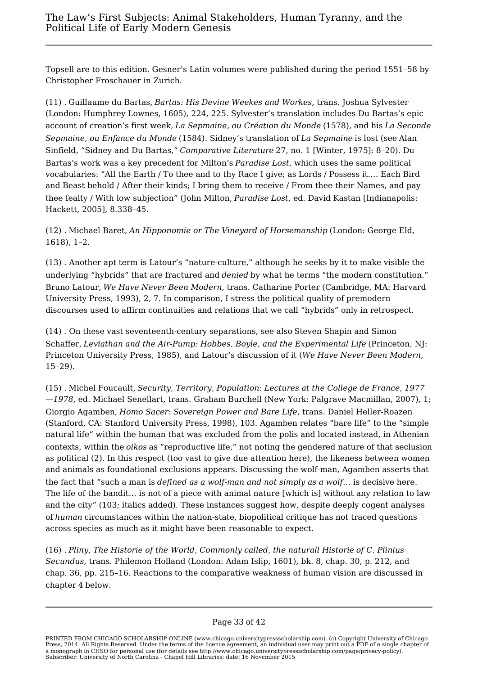Topsell are to this edition. Gesner's Latin volumes were published during the period 1551–58 by Christopher Froschauer in Zurich.

(11) . Guillaume du Bartas, *Bartas: His Devine Weekes and Workes*, trans. Joshua Sylvester (London: Humphrey Lownes, 1605), 224, 225. Sylvester's translation includes Du Bartas's epic account of creation's first week, *La Sepmaine, ou Création du Monde* (1578), and his *La Seconde Sepmaine, ou Enfance du Monde* (1584). Sidney's translation of *La Sepmaine* is lost (see Alan Sinfield, "Sidney and Du Bartas," *Comparative Literature* 27, no. 1 [Winter, 1975]: 8–20). Du Bartas's work was a key precedent for Milton's *Paradise Lost*, which uses the same political vocabularies: "All the Earth / To thee and to thy Race I give; as Lords / Possess it.… Each Bird and Beast behold / After their kinds; I bring them to receive / From thee their Names, and pay thee fealty / With low subjection" (John Milton, *Paradise Lost*, ed. David Kastan [Indianapolis: Hackett, 2005], 8.338–45.

(12) . Michael Baret, *An Hipponomie or The Vineyard of Horsemanship* (London: George Eld, 1618), 1–2.

(13) . Another apt term is Latour's "nature-culture," although he seeks by it to make visible the underlying "hybrids" that are fractured and *denied* by what he terms "the modern constitution." Bruno Latour, *We Have Never Been Modern*, trans. Catharine Porter (Cambridge, MA: Harvard University Press, 1993), 2, 7. In comparison, I stress the political quality of premodern discourses used to affirm continuities and relations that we call "hybrids" only in retrospect.

(14) . On these vast seventeenth-century separations, see also Steven Shapin and Simon Schaffer, *Leviathan and the Air-Pump: Hobbes, Boyle, and the Experimental Life* (Princeton, NJ: Princeton University Press, 1985), and Latour's discussion of it (*We Have Never Been Modern*, 15–29).

(15) . Michel Foucault, *Security, Territory, Population: Lectures at the College de France, 1977 —1978*, ed. Michael Senellart, trans. Graham Burchell (New York: Palgrave Macmillan, 2007), 1; Giorgio Agamben, *Homo Sacer: Sovereign Power and Bare Life*, trans. Daniel Heller-Roazen (Stanford, CA: Stanford University Press, 1998), 103. Agamben relates "bare life" to the "simple natural life" within the human that was excluded from the polis and located instead, in Athenian contexts, within the *oikos* as "reproductive life," not noting the gendered nature of that seclusion as political (2). In this respect (too vast to give due attention here), the likeness between women and animals as foundational exclusions appears. Discussing the wolf-man, Agamben asserts that the fact that "such a man is *defined as a wolf-man and not simply as a wolf*… is decisive here. The life of the bandit… is not of a piece with animal nature [which is] without any relation to law and the city" (103; italics added). These instances suggest how, despite deeply cogent analyses of *human* circumstances within the nation-state, biopolitical critique has not traced questions across species as much as it might have been reasonable to expect.

(16) . *Pliny, The Historie of the World, Commonly called, the naturall Historie of C. Plinius Secundus*, trans. Philemon Holland (London: Adam Islip, 1601), bk. 8, chap. 30, p. 212, and chap. 36, pp. 215–16. Reactions to the comparative weakness of human vision are discussed in chapter 4 below.

PRINTED FROM CHICAGO SCHOLARSHIP ONLINE (www.chicago.universitypressscholarship.com). (c) Copyright University of Chicago Press, 2014. All Rights Reserved. Under the terms of the licence agreement, an individual user may print out a PDF of a single chapter of a monograph in CHSO for personal use (for details see http://www.chicago.universitypressscholarship.com/page/privacy-policy). Subscriber: University of North Carolina - Chapel Hill Libraries; date: 16 November 2015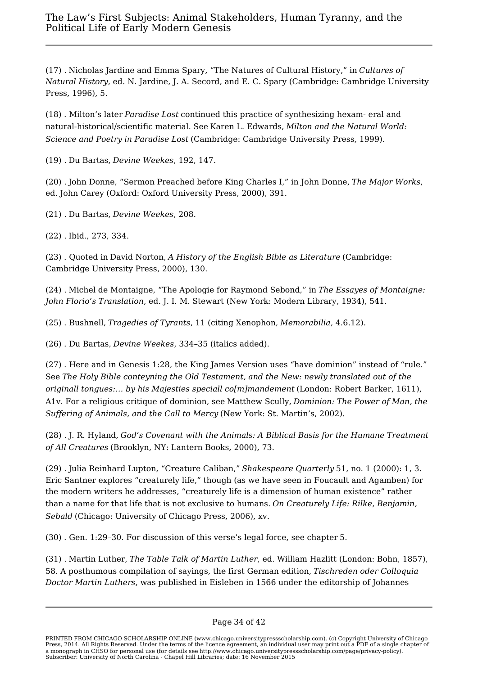(17) . Nicholas Jardine and Emma Spary, "The Natures of Cultural History," in *Cultures of Natural History*, ed. N. Jardine, J. A. Secord, and E. C. Spary (Cambridge: Cambridge University Press, 1996), 5.

(18) . Milton's later *Paradise Lost* continued this practice of synthesizing hexam- eral and natural-historical/scientific material. See Karen L. Edwards, *Milton and the Natural World: Science and Poetry in Paradise Lost* (Cambridge: Cambridge University Press, 1999).

(19) . Du Bartas, *Devine Weekes*, 192, 147.

(20) . John Donne, "Sermon Preached before King Charles I," in John Donne, *The Major Works*, ed. John Carey (Oxford: Oxford University Press, 2000), 391.

(21) . Du Bartas, *Devine Weekes*, 208.

(22) . Ibid., 273, 334.

(23) . Quoted in David Norton, *A History of the English Bible as Literature* (Cambridge: Cambridge University Press, 2000), 130.

(24) . Michel de Montaigne, "The Apologie for Raymond Sebond," in *The Essayes of Montaigne: John Florio's Translation*, ed. J. I. M. Stewart (New York: Modern Library, 1934), 541.

(25) . Bushnell, *Tragedies of Tyrants*, 11 (citing Xenophon, *Memorabilia*, 4.6.12).

(26) . Du Bartas, *Devine Weekes*, 334–35 (italics added).

(27) . Here and in Genesis 1:28, the King James Version uses "have dominion" instead of "rule." See *The Holy Bible conteyning the Old Testament, and the New: newly translated out of the originall tongues:… by his Majesties speciall co[m]mandement* (London: Robert Barker, 1611), A1v. For a religious critique of dominion, see Matthew Scully, *Dominion: The Power of Man, the Suffering of Animals, and the Call to Mercy* (New York: St. Martin's, 2002).

(28) . J. R. Hyland, *God's Covenant with the Animals: A Biblical Basis for the Humane Treatment of All Creatures* (Brooklyn, NY: Lantern Books, 2000), 73.

(29) . Julia Reinhard Lupton, "Creature Caliban," *Shakespeare Quarterly* 51, no. 1 (2000): 1, 3. Eric Santner explores "creaturely life," though (as we have seen in Foucault and Agamben) for the modern writers he addresses, "creaturely life is a dimension of human existence" rather than a name for that life that is not exclusive to humans. *On Creaturely Life: Rilke, Benjamin, Sebald* (Chicago: University of Chicago Press, 2006), xv.

(30) . Gen. 1:29–30. For discussion of this verse's legal force, see chapter 5.

(31) . Martin Luther, *The Table Talk of Martin Luther*, ed. William Hazlitt (London: Bohn, 1857), 58. A posthumous compilation of sayings, the first German edition, *Tischreden oder Colloquia Doctor Martin Luthers*, was published in Eisleben in 1566 under the editorship of Johannes

PRINTED FROM CHICAGO SCHOLARSHIP ONLINE (www.chicago.universitypressscholarship.com). (c) Copyright University of Chicago Press, 2014. All Rights Reserved. Under the terms of the licence agreement, an individual user may print out a PDF of a single chapter of a monograph in CHSO for personal use (for details see http://www.chicago.universitypressscholarship.com/page/privacy-policy). Subscriber: University of North Carolina - Chapel Hill Libraries; date: 16 November 2015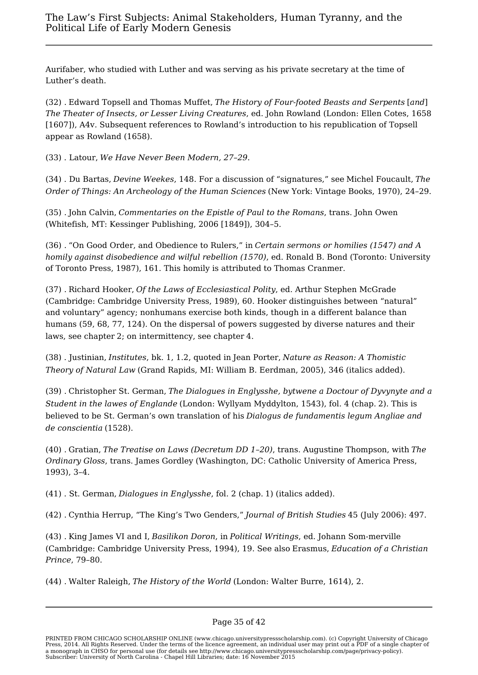Aurifaber, who studied with Luther and was serving as his private secretary at the time of Luther's death.

(32) . Edward Topsell and Thomas Muffet, *The History of Four-footed Beasts and Serpents* [*and*] *The Theater of Insects, or Lesser Living Creatures*, ed. John Rowland (London: Ellen Cotes, 1658 [1607]), A4v. Subsequent references to Rowland's introduction to his republication of Topsell appear as Rowland (1658).

(33) . Latour, *We Have Never Been Modern, 27–29*.

(34) . Du Bartas, *Devine Weekes*, 148. For a discussion of "signatures," see Michel Foucault,*The Order of Things: An Archeology of the Human Sciences* (New York: Vintage Books, 1970), 24–29.

(35) . John Calvin, *Commentaries on the Epistle of Paul to the Romans*, trans. John Owen (Whitefish, MT: Kessinger Publishing, 2006 [1849]), 304–5.

(36) . "On Good Order, and Obedience to Rulers," in *Certain sermons or homilies (1547) and A homily against disobedience and wilful rebellion (1570)*, ed. Ronald B. Bond (Toronto: University of Toronto Press, 1987), 161. This homily is attributed to Thomas Cranmer.

(37) . Richard Hooker, *Of the Laws of Ecclesiastical Polity*, ed. Arthur Stephen McGrade (Cambridge: Cambridge University Press, 1989), 60. Hooker distinguishes between "natural" and voluntary" agency; nonhumans exercise both kinds, though in a different balance than humans (59, 68, 77, 124). On the dispersal of powers suggested by diverse natures and their laws, see chapter 2; on intermittency, see chapter 4.

(38) . Justinian, *Institutes*, bk. 1, 1.2, quoted in Jean Porter, *Nature as Reason: A Thomistic Theory of Natural Law* (Grand Rapids, MI: William B. Eerdman, 2005), 346 (italics added).

(39) . Christopher St. German, *The Dialogues in Englysshe, bytwene a Doctour of Dyvynyte and a Student in the lawes of Englande* (London: Wyllyam Myddylton, 1543), fol. 4 (chap. 2). This is believed to be St. German's own translation of his *Dialogus de fundamentis legum Angliae and de conscientia* (1528).

(40) . Gratian, *The Treatise on Laws (Decretum DD 1–20)*, trans. Augustine Thompson, with *The Ordinary Gloss*, trans. James Gordley (Washington, DC: Catholic University of America Press, 1993), 3–4.

(41) . St. German, *Dialogues in Englysshe*, fol. 2 (chap. 1) (italics added).

(42) . Cynthia Herrup, "The King's Two Genders," *Journal of British Studies* 45 (July 2006): 497.

(43) . King James VI and I, *Basilikon Doron*, in *Political Writings*, ed. Johann Som-merville (Cambridge: Cambridge University Press, 1994), 19. See also Erasmus, *Education of a Christian Prince*, 79–80.

(44) . Walter Raleigh, *The History of the World* (London: Walter Burre, 1614), 2.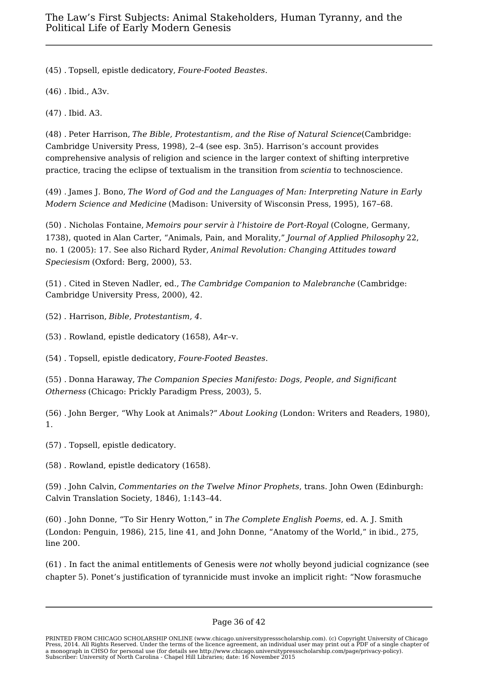(45) . Topsell, epistle dedicatory, *Foure-Footed Beastes*.

(46) . Ibid., A3v.

(47) . Ibid. A3.

(48) . Peter Harrison, *The Bible, Protestantism, and the Rise of Natural Science*(Cambridge: Cambridge University Press, 1998), 2–4 (see esp. 3n5). Harrison's account provides comprehensive analysis of religion and science in the larger context of shifting interpretive practice, tracing the eclipse of textualism in the transition from *scientia* to technoscience.

(49) . James J. Bono, *The Word of God and the Languages of Man: Interpreting Nature in Early Modern Science and Medicine* (Madison: University of Wisconsin Press, 1995), 167–68.

(50) . Nicholas Fontaine, *Memoirs pour servir à l'histoire de Port-Royal* (Cologne, Germany, 1738), quoted in Alan Carter, "Animals, Pain, and Morality," *Journal of Applied Philosophy* 22, no. 1 (2005): 17. See also Richard Ryder, *Animal Revolution: Changing Attitudes toward Speciesism* (Oxford: Berg, 2000), 53.

(51) . Cited in Steven Nadler, ed., *The Cambridge Companion to Malebranche* (Cambridge: Cambridge University Press, 2000), 42.

(52) . Harrison, *Bible, Protestantism, 4*.

(53) . Rowland, epistle dedicatory (1658), A4r–v.

(54) . Topsell, epistle dedicatory, *Foure-Footed Beastes*.

(55) . Donna Haraway, *The Companion Species Manifesto: Dogs, People, and Significant Otherness* (Chicago: Prickly Paradigm Press, 2003), 5.

(56) . John Berger, "Why Look at Animals?" *About Looking* (London: Writers and Readers, 1980), 1.

(57) . Topsell, epistle dedicatory.

(58) . Rowland, epistle dedicatory (1658).

(59) . John Calvin, *Commentaries on the Twelve Minor Prophets*, trans. John Owen (Edinburgh: Calvin Translation Society, 1846), 1:143–44.

(60) . John Donne, "To Sir Henry Wotton," in *The Complete English Poems*, ed. A. J. Smith (London: Penguin, 1986), 215, line 41, and John Donne, "Anatomy of the World," in ibid., 275, line 200.

(61) . In fact the animal entitlements of Genesis were *not* wholly beyond judicial cognizance (see chapter 5). Ponet's justification of tyrannicide must invoke an implicit right: "Now forasmuche

## Page 36 of 42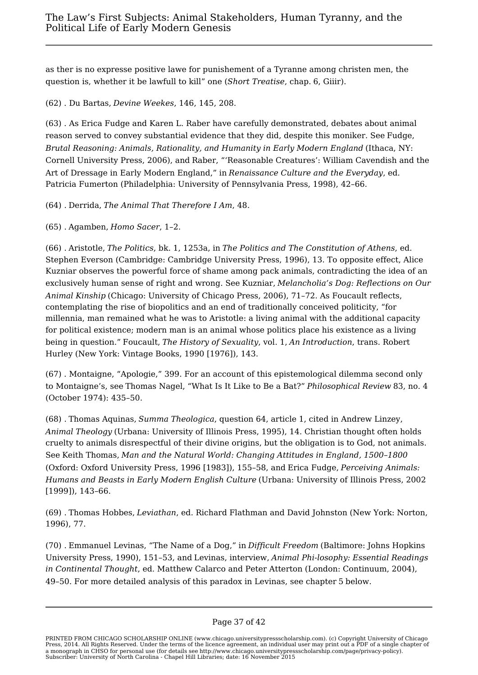as ther is no expresse positive lawe for punishement of a Tyranne among christen men, the question is, whether it be lawfull to kill" one (*Short Treatise*, chap. 6, Giiir).

(62) . Du Bartas, *Devine Weekes*, 146, 145, 208.

(63) . As Erica Fudge and Karen L. Raber have carefully demonstrated, debates about animal reason served to convey substantial evidence that they did, despite this moniker. See Fudge, *Brutal Reasoning: Animals, Rationality, and Humanity in Early Modern England* (Ithaca, NY: Cornell University Press, 2006), and Raber, "'Reasonable Creatures': William Cavendish and the Art of Dressage in Early Modern England," in *Renaissance Culture and the Everyday*, ed. Patricia Fumerton (Philadelphia: University of Pennsylvania Press, 1998), 42–66.

(64) . Derrida, *The Animal That Therefore I Am*, 48.

(65) . Agamben, *Homo Sacer*, 1–2.

(66) . Aristotle, *The Politics*, bk. 1, 1253a, in *The Politics and The Constitution of Athens*, ed. Stephen Everson (Cambridge: Cambridge University Press, 1996), 13. To opposite effect, Alice Kuzniar observes the powerful force of shame among pack animals, contradicting the idea of an exclusively human sense of right and wrong. See Kuzniar, *Melancholia's Dog: Reflections on Our Animal Kinship* (Chicago: University of Chicago Press, 2006), 71–72. As Foucault reflects, contemplating the rise of biopolitics and an end of traditionally conceived politicity, "for millennia, man remained what he was to Aristotle: a living animal with the additional capacity for political existence; modern man is an animal whose politics place his existence as a living being in question." Foucault, *The History of Sexuality*, vol. 1, *An Introduction*, trans. Robert Hurley (New York: Vintage Books, 1990 [1976]), 143.

(67) . Montaigne, "Apologie," 399. For an account of this epistemological dilemma second only to Montaigne's, see Thomas Nagel, "What Is It Like to Be a Bat?" *Philosophical Review* 83, no. 4 (October 1974): 435–50.

(68) . Thomas Aquinas, *Summa Theologica*, question 64, article 1, cited in Andrew Linzey, *Animal Theology* (Urbana: University of Illinois Press, 1995), 14. Christian thought often holds cruelty to animals disrespectful of their divine origins, but the obligation is to God, not animals. See Keith Thomas, *Man and the Natural World: Changing Attitudes in England, 1500–1800* (Oxford: Oxford University Press, 1996 [1983]), 155–58, and Erica Fudge, *Perceiving Animals: Humans and Beasts in Early Modern English Culture* (Urbana: University of Illinois Press, 2002 [1999]), 143–66.

(69) . Thomas Hobbes, *Leviathan*, ed. Richard Flathman and David Johnston (New York: Norton, 1996), 77.

(70) . Emmanuel Levinas, "The Name of a Dog," in *Difficult Freedom* (Baltimore: Johns Hopkins University Press, 1990), 151–53, and Levinas, interview, *Animal Phi-losophy: Essential Readings in Continental Thought*, ed. Matthew Calarco and Peter Atterton (London: Continuum, 2004), 49–50. For more detailed analysis of this paradox in Levinas, see chapter 5 below.

PRINTED FROM CHICAGO SCHOLARSHIP ONLINE (www.chicago.universitypressscholarship.com). (c) Copyright University of Chicago Press, 2014. All Rights Reserved. Under the terms of the licence agreement, an individual user may print out a PDF of a single chapter of a monograph in CHSO for personal use (for details see http://www.chicago.universitypressscholarship.com/page/privacy-policy). Subscriber: University of North Carolina - Chapel Hill Libraries; date: 16 November 2015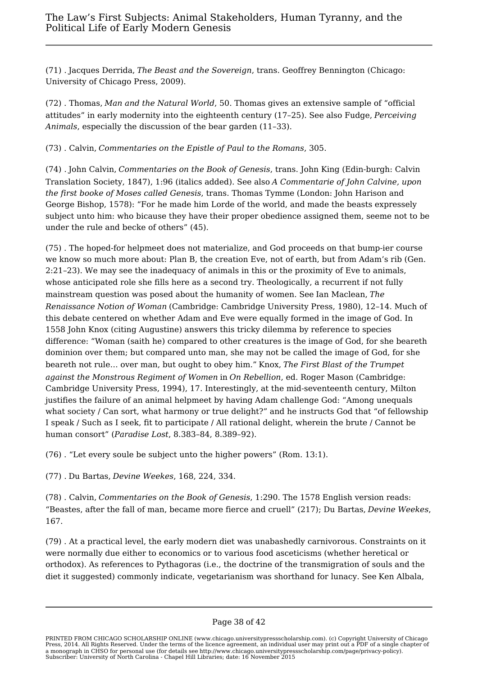(71) . Jacques Derrida, *The Beast and the Sovereign*, trans. Geoffrey Bennington (Chicago: University of Chicago Press, 2009).

(72) . Thomas, *Man and the Natural World*, 50. Thomas gives an extensive sample of "official attitudes" in early modernity into the eighteenth century (17–25). See also Fudge, *Perceiving Animals*, especially the discussion of the bear garden (11–33).

(73) . Calvin, *Commentaries on the Epistle of Paul to the Romans*, 305.

(74) . John Calvin, *Commentaries on the Book of Genesis*, trans. John King (Edin-burgh: Calvin Translation Society, 1847), 1:96 (italics added). See also *A Commentarie of John Calvine, upon the first booke of Moses called Genesis*, trans. Thomas Tymme (London: John Harison and George Bishop, 1578): "For he made him Lorde of the world, and made the beasts expressely subject unto him: who bicause they have their proper obedience assigned them, seeme not to be under the rule and becke of others" (45).

(75) . The hoped-for helpmeet does not materialize, and God proceeds on that bump-ier course we know so much more about: Plan B, the creation Eve, not of earth, but from Adam's rib (Gen. 2:21–23). We may see the inadequacy of animals in this or the proximity of Eve to animals, whose anticipated role she fills here as a second try. Theologically, a recurrent if not fully mainstream question was posed about the humanity of women. See Ian Maclean, *The Renaissance Notion of Woman* (Cambridge: Cambridge University Press, 1980), 12–14. Much of this debate centered on whether Adam and Eve were equally formed in the image of God. In 1558 John Knox (citing Augustine) answers this tricky dilemma by reference to species difference: "Woman (saith he) compared to other creatures is the image of God, for she beareth dominion over them; but compared unto man, she may not be called the image of God, for she beareth not rule… over man, but ought to obey him." Knox, *The First Blast of the Trumpet against the Monstrous Regiment of Women* in *On Rebellion*, ed. Roger Mason (Cambridge: Cambridge University Press, 1994), 17. Interestingly, at the mid-seventeenth century, Milton justifies the failure of an animal helpmeet by having Adam challenge God: "Among unequals what society / Can sort, what harmony or true delight?" and he instructs God that "of fellowship I speak / Such as I seek, fit to participate / All rational delight, wherein the brute / Cannot be human consort" (*Paradise Lost*, 8.383–84, 8.389–92).

(76) . "Let every soule be subject unto the higher powers" (Rom. 13:1).

(77) . Du Bartas, *Devine Weekes*, 168, 224, 334.

(78) . Calvin, *Commentaries on the Book of Genesis*, 1:290. The 1578 English version reads: "Beastes, after the fall of man, became more fierce and cruell" (217); Du Bartas, *Devine Weekes*, 167.

(79) . At a practical level, the early modern diet was unabashedly carnivorous. Constraints on it were normally due either to economics or to various food asceticisms (whether heretical or orthodox). As references to Pythagoras (i.e., the doctrine of the transmigration of souls and the diet it suggested) commonly indicate, vegetarianism was shorthand for lunacy. See Ken Albala,

PRINTED FROM CHICAGO SCHOLARSHIP ONLINE (www.chicago.universitypressscholarship.com). (c) Copyright University of Chicago Press, 2014. All Rights Reserved. Under the terms of the licence agreement, an individual user may print out a PDF of a single chapter of a monograph in CHSO for personal use (for details see http://www.chicago.universitypressscholarship.com/page/privacy-policy). Subscriber: University of North Carolina - Chapel Hill Libraries; date: 16 November 2015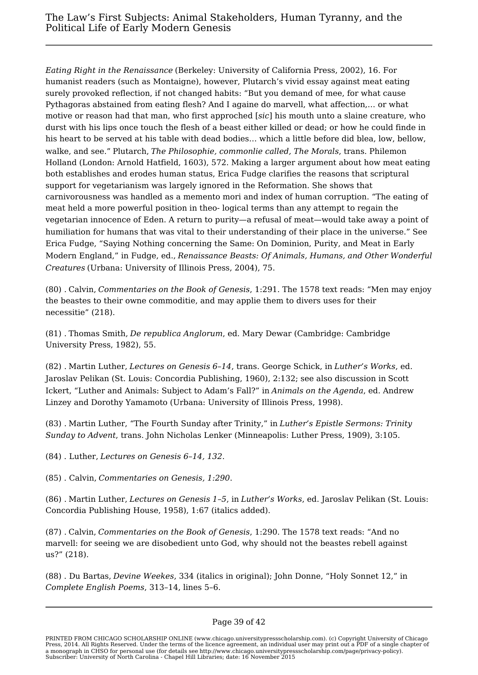*Eating Right in the Renaissance* (Berkeley: University of California Press, 2002), 16. For humanist readers (such as Montaigne), however, Plutarch's vivid essay against meat eating surely provoked reflection, if not changed habits: "But you demand of mee, for what cause Pythagoras abstained from eating flesh? And I againe do marvell, what affection,… or what motive or reason had that man, who first approched [*sic*] his mouth unto a slaine creature, who durst with his lips once touch the flesh of a beast either killed or dead; or how he could finde in his heart to be served at his table with dead bodies… which a little before did blea, low, bellow, walke, and see." Plutarch, *The Philosophie, commonlie called, The Morals*, trans. Philemon Holland (London: Arnold Hatfield, 1603), 572. Making a larger argument about how meat eating both establishes and erodes human status, Erica Fudge clarifies the reasons that scriptural support for vegetarianism was largely ignored in the Reformation. She shows that carnivorousness was handled as a memento mori and index of human corruption. "The eating of meat held a more powerful position in theo- logical terms than any attempt to regain the vegetarian innocence of Eden. A return to purity—a refusal of meat—would take away a point of humiliation for humans that was vital to their understanding of their place in the universe." See Erica Fudge, "Saying Nothing concerning the Same: On Dominion, Purity, and Meat in Early Modern England," in Fudge, ed., *Renaissance Beasts: Of Animals, Humans, and Other Wonderful Creatures* (Urbana: University of Illinois Press, 2004), 75.

(80) . Calvin, *Commentaries on the Book of Genesis*, 1:291. The 1578 text reads: "Men may enjoy the beastes to their owne commoditie, and may applie them to divers uses for their necessitie" (218).

(81) . Thomas Smith, *De republica Anglorum*, ed. Mary Dewar (Cambridge: Cambridge University Press, 1982), 55.

(82) . Martin Luther, *Lectures on Genesis 6–14*, trans. George Schick, in *Luther's Works*, ed. Jaroslav Pelikan (St. Louis: Concordia Publishing, 1960), 2:132; see also discussion in Scott Ickert, "Luther and Animals: Subject to Adam's Fall?" in *Animals on the Agenda*, ed. Andrew Linzey and Dorothy Yamamoto (Urbana: University of Illinois Press, 1998).

(83) . Martin Luther, "The Fourth Sunday after Trinity," in *Luther's Epistle Sermons: Trinity Sunday to Advent*, trans. John Nicholas Lenker (Minneapolis: Luther Press, 1909), 3:105.

(84) . Luther, *Lectures on Genesis 6–14, 132*.

(85) . Calvin, *Commentaries on Genesis, 1:290*.

(86) . Martin Luther, *Lectures on Genesis 1–5*, in *Luther's Works*, ed. Jaroslav Pelikan (St. Louis: Concordia Publishing House, 1958), 1:67 (italics added).

(87) . Calvin, *Commentaries on the Book of Genesis*, 1:290. The 1578 text reads: "And no marvell: for seeing we are disobedient unto God, why should not the beastes rebell against us?" (218).

(88) . Du Bartas, *Devine Weekes*, 334 (italics in original); John Donne, "Holy Sonnet 12," in *Complete English Poems*, 313–14, lines 5–6.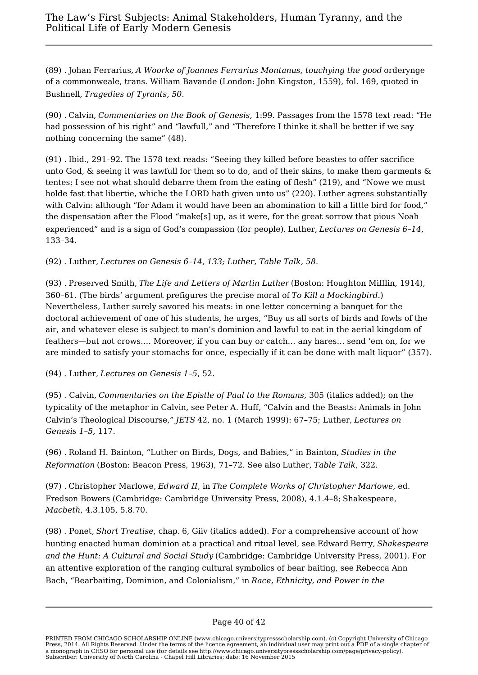(89) . Johan Ferrarius, *A Woorke of Joannes Ferrarius Montanus, touchying the good* orderynge of a commonweale, trans. William Bavande (London: John Kingston, 1559), fol. 169, quoted in Bushnell, *Tragedies of Tyrants, 50*.

(90) . Calvin, *Commentaries on the Book of Genesis*, 1:99. Passages from the 1578 text read: "He had possession of his right" and "lawfull," and "Therefore I thinke it shall be better if we say nothing concerning the same" (48).

(91) . Ibid., 291–92. The 1578 text reads: "Seeing they killed before beastes to offer sacrifice unto God, & seeing it was lawfull for them so to do, and of their skins, to make them garments & tentes: I see not what should debarre them from the eating of flesh" (219), and "Nowe we must holde fast that libertie, whiche the LORD hath given unto us" (220). Luther agrees substantially with Calvin: although "for Adam it would have been an abomination to kill a little bird for food," the dispensation after the Flood "make[s] up, as it were, for the great sorrow that pious Noah experienced" and is a sign of God's compassion (for people). Luther, *Lectures on Genesis 6–14*, 133–34.

(92) . Luther, *Lectures on Genesis 6–14, 133; Luther, Table Talk, 58*.

(93) . Preserved Smith, *The Life and Letters of Martin Luther* (Boston: Houghton Mifflin, 1914), 360–61. (The birds' argument prefigures the precise moral of *To Kill a Mockingbird*.) Nevertheless, Luther surely savored his meats: in one letter concerning a banquet for the doctoral achievement of one of his students, he urges, "Buy us all sorts of birds and fowls of the air, and whatever elese is subject to man's dominion and lawful to eat in the aerial kingdom of feathers—but not crows.… Moreover, if you can buy or catch… any hares… send 'em on, for we are minded to satisfy your stomachs for once, especially if it can be done with malt liquor" (357).

(94) . Luther, *Lectures on Genesis 1–5*, 52.

(95) . Calvin, *Commentaries on the Epistle of Paul to the Romans*, 305 (italics added); on the typicality of the metaphor in Calvin, see Peter A. Huff, "Calvin and the Beasts: Animals in John Calvin's Theological Discourse," *JETS* 42, no. 1 (March 1999): 67–75; Luther, *Lectures on Genesis 1–5*, 117.

(96) . Roland H. Bainton, "Luther on Birds, Dogs, and Babies," in Bainton, *Studies in the Reformation* (Boston: Beacon Press, 1963), 71–72. See also Luther, *Table Talk*, 322.

(97) . Christopher Marlowe, *Edward II*, in *The Complete Works of Christopher Marlowe*, ed. Fredson Bowers (Cambridge: Cambridge University Press, 2008), 4.1.4–8; Shakespeare, *Macbeth*, 4.3.105, 5.8.70.

(98) . Ponet, *Short Treatise*, chap. 6, Giiv (italics added). For a comprehensive account of how hunting enacted human dominion at a practical and ritual level, see Edward Berry, *Shakespeare and the Hunt: A Cultural and Social Study* (Cambridge: Cambridge University Press, 2001). For an attentive exploration of the ranging cultural symbolics of bear baiting, see Rebecca Ann Bach, "Bearbaiting, Dominion, and Colonialism," in *Race, Ethnicity, and Power in the*

PRINTED FROM CHICAGO SCHOLARSHIP ONLINE (www.chicago.universitypressscholarship.com). (c) Copyright University of Chicago Press, 2014. All Rights Reserved. Under the terms of the licence agreement, an individual user may print out a PDF of a single chapter of a monograph in CHSO for personal use (for details see http://www.chicago.universitypressscholarship.com/page/privacy-policy). Subscriber: University of North Carolina - Chapel Hill Libraries; date: 16 November 2015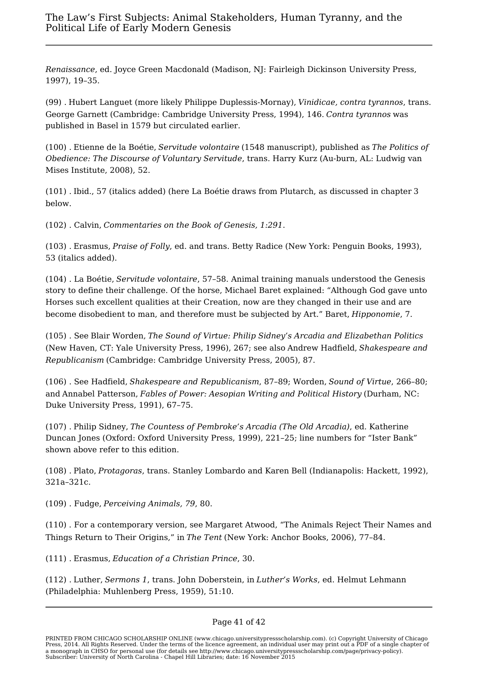*Renaissance*, ed. Joyce Green Macdonald (Madison, NJ: Fairleigh Dickinson University Press, 1997), 19–35.

(99) . Hubert Languet (more likely Philippe Duplessis-Mornay), *Vinidicae, contra tyrannos*, trans. George Garnett (Cambridge: Cambridge University Press, 1994), 146. *Contra tyrannos* was published in Basel in 1579 but circulated earlier.

(100) . Etienne de la Boétie, *Servitude volontaire* (1548 manuscript), published as *The Politics of Obedience: The Discourse of Voluntary Servitude*, trans. Harry Kurz (Au-burn, AL: Ludwig van Mises Institute, 2008), 52.

(101) . Ibid., 57 (italics added) (here La Boétie draws from Plutarch, as discussed in chapter 3 below.

(102) . Calvin, *Commentaries on the Book of Genesis, 1:291*.

(103) . Erasmus, *Praise of Folly*, ed. and trans. Betty Radice (New York: Penguin Books, 1993), 53 (italics added).

(104) . La Boétie, *Servitude volontaire*, 57–58. Animal training manuals understood the Genesis story to define their challenge. Of the horse, Michael Baret explained: "Although God gave unto Horses such excellent qualities at their Creation, now are they changed in their use and are become disobedient to man, and therefore must be subjected by Art." Baret, *Hipponomie*, 7.

(105) . See Blair Worden, *The Sound of Virtue: Philip Sidney's Arcadia and Elizabethan Politics* (New Haven, CT: Yale University Press, 1996), 267; see also Andrew Hadfield,*Shakespeare and Republicanism* (Cambridge: Cambridge University Press, 2005), 87.

(106) . See Hadfield, *Shakespeare and Republicanism*, 87–89; Worden, *Sound of Virtue*, 266–80; and Annabel Patterson, *Fables of Power: Aesopian Writing and Political History* (Durham, NC: Duke University Press, 1991), 67–75.

(107) . Philip Sidney, *The Countess of Pembroke's Arcadia (The Old Arcadia)*, ed. Katherine Duncan Jones (Oxford: Oxford University Press, 1999), 221–25; line numbers for "Ister Bank" shown above refer to this edition.

(108) . Plato, *Protagoras*, trans. Stanley Lombardo and Karen Bell (Indianapolis: Hackett, 1992), 321a–321c.

(109) . Fudge, *Perceiving Animals, 79*, 80.

(110) . For a contemporary version, see Margaret Atwood, "The Animals Reject Their Names and Things Return to Their Origins," in *The Tent* (New York: Anchor Books, 2006), 77–84.

(111) . Erasmus, *Education of a Christian Prince*, 30.

(112) . Luther, *Sermons 1*, trans. John Doberstein, in *Luther's Works*, ed. Helmut Lehmann (Philadelphia: Muhlenberg Press, 1959), 51:10.